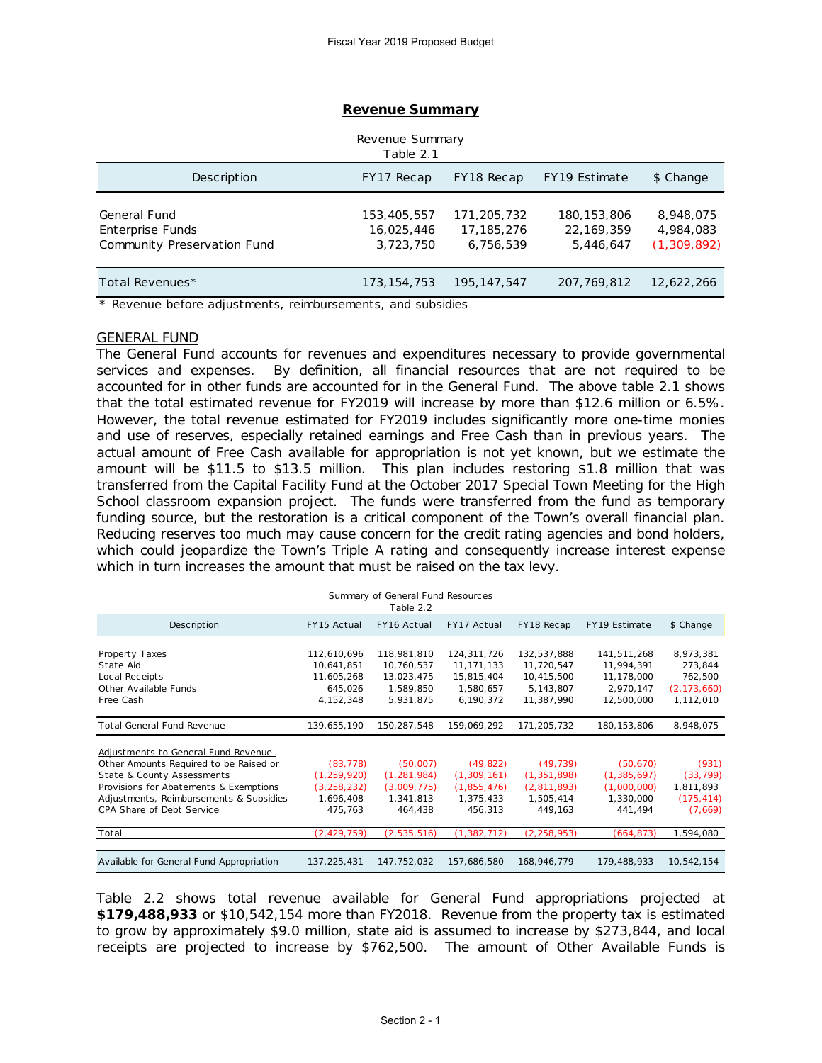| Revenue Summary<br>Table 2.1                                    |                                        |                                          |                                            |                                         |  |  |  |  |
|-----------------------------------------------------------------|----------------------------------------|------------------------------------------|--------------------------------------------|-----------------------------------------|--|--|--|--|
| Description                                                     | FY17 Recap                             | FY18 Recap                               | FY19 Estimate                              | \$ Change                               |  |  |  |  |
| General Fund<br>Enterprise Funds<br>Community Preservation Fund | 153,405,557<br>16,025,446<br>3,723,750 | 171,205,732<br>17, 185, 276<br>6,756,539 | 180, 153, 806<br>22, 169, 359<br>5,446,647 | 8,948,075<br>4,984,083<br>(1, 309, 892) |  |  |  |  |
| Total Revenues*                                                 | 173, 154, 753                          | 195, 147, 547                            | 207, 769, 812                              | 12,622,266                              |  |  |  |  |

#### **Revenue Summary**

\* Revenue before adjustments, reimbursements, and subsidies

#### GENERAL FUND

The General Fund accounts for revenues and expenditures necessary to provide governmental services and expenses. By definition, all financial resources that are not required to be accounted for in other funds are accounted for in the General Fund. The above table 2.1 shows that the total estimated revenue for FY2019 will increase by more than \$12.6 million or 6.5%. However, the total revenue estimated for FY2019 includes significantly more one-time monies and use of reserves, especially retained earnings and Free Cash than in previous years. The actual amount of Free Cash available for appropriation is not yet known, but we estimate the amount will be \$11.5 to \$13.5 million. This plan includes restoring \$1.8 million that was transferred from the Capital Facility Fund at the October 2017 Special Town Meeting for the High School classroom expansion project. The funds were transferred from the fund as temporary funding source, but the restoration is a critical component of the Town's overall financial plan. Reducing reserves too much may cause concern for the credit rating agencies and bond holders, which could jeopardize the Town's Triple A rating and consequently increase interest expense which in turn increases the amount that must be raised on the tax levy.

| Summary of General Fund Resources<br>Table 2.2 |               |               |                    |               |               |               |  |  |  |
|------------------------------------------------|---------------|---------------|--------------------|---------------|---------------|---------------|--|--|--|
| Description                                    | FY15 Actual   | FY16 Actual   | <b>FY17 Actual</b> | FY18 Recap    | FY19 Estimate | \$ Change     |  |  |  |
| Property Taxes                                 | 112,610,696   | 118,981,810   | 124,311,726        | 132,537,888   | 141,511,268   | 8,973,381     |  |  |  |
| State Aid                                      | 10,641,851    | 10,760,537    | 11, 171, 133       | 11,720,547    | 11,994,391    | 273,844       |  |  |  |
| Local Receipts                                 | 11,605,268    | 13,023,475    | 15,815,404         | 10,415,500    | 11,178,000    | 762,500       |  |  |  |
| Other Available Funds                          | 645,026       | 1,589,850     | 1,580,657          | 5, 143, 807   | 2,970,147     | (2, 173, 660) |  |  |  |
| Free Cash                                      | 4, 152, 348   | 5,931,875     | 6,190,372          | 11,387,990    | 12,500,000    | 1,112,010     |  |  |  |
| <b>Total General Fund Revenue</b>              | 139,655,190   | 150,287,548   | 159,069,292        | 171,205,732   | 180, 153, 806 | 8,948,075     |  |  |  |
| Adjustments to General Fund Revenue            |               |               |                    |               |               |               |  |  |  |
| Other Amounts Required to be Raised or         | (83, 778)     | (50,007)      | (49, 822)          | (49, 739)     | (50, 670)     | (931)         |  |  |  |
| State & County Assessments                     | (1, 259, 920) | (1, 281, 984) | (1, 309, 161)      | (1, 351, 898) | (1, 385, 697) | (33, 799)     |  |  |  |
| Provisions for Abatements & Exemptions         | (3, 258, 232) | (3,009,775)   | (1,855,476)        | (2,811,893)   | (1,000,000)   | 1,811,893     |  |  |  |
| Adjustments, Reimbursements & Subsidies        | 1,696,408     | 1,341,813     | 1,375,433          | 1,505,414     | 1,330,000     | (175, 414)    |  |  |  |
| CPA Share of Debt Service                      | 475,763       | 464,438       | 456,313            | 449,163       | 441,494       | (7,669)       |  |  |  |
| Total                                          | (2, 429, 759) | (2,535,516)   | (1, 382, 712)      | (2, 258, 953) | (664, 873)    | 1,594,080     |  |  |  |
|                                                |               |               |                    |               |               |               |  |  |  |
| Available for General Fund Appropriation       | 137,225,431   | 147,752,032   | 157,686,580        | 168,946,779   | 179,488,933   | 10,542,154    |  |  |  |

Table 2.2 shows total revenue available for General Fund appropriations projected at **\$179,488,933** or \$10,542,154 more than FY2018. Revenue from the property tax is estimated to grow by approximately \$9.0 million, state aid is assumed to increase by \$273,844, and local receipts are projected to increase by \$762,500. The amount of Other Available Funds is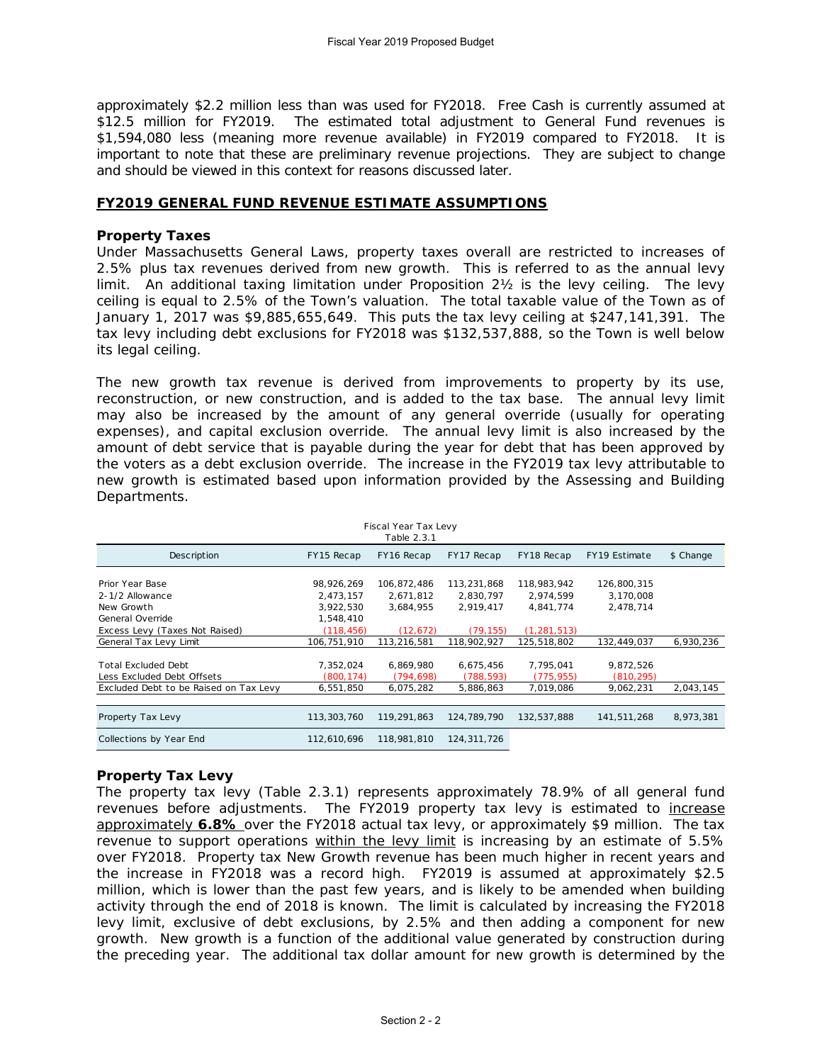approximately \$2.2 million less than was used for FY2018. Free Cash is currently assumed at \$12.5 million for FY2019. The estimated total adjustment to General Fund revenues is \$1,594,080 less (meaning more revenue available) in FY2019 compared to FY2018. It is important to note that these are preliminary revenue projections. They are subject to change and should be viewed in this context for reasons discussed later.

## **FY2019 GENERAL FUND REVENUE ESTIMATE ASSUMPTIONS**

# **Property Taxes**

Under Massachusetts General Laws, property taxes overall are restricted to increases of 2.5% plus tax revenues derived from new growth. This is referred to as the annual levy limit. An additional taxing limitation under Proposition 2½ is the levy ceiling. The levy ceiling is equal to 2.5% of the Town's valuation. The total taxable value of the Town as of January 1, 2017 was \$9,885,655,649. This puts the tax levy ceiling at \$247,141,391. The tax levy including debt exclusions for FY2018 was \$132,537,888, so the Town is well below its legal ceiling.

The new growth tax revenue is derived from improvements to property by its use, reconstruction, or new construction, and is added to the tax base. The annual levy limit may also be increased by the amount of any general override (usually for operating expenses), and capital exclusion override. The annual levy limit is also increased by the amount of debt service that is payable during the year for debt that has been approved by the voters as a debt exclusion override. The increase in the FY2019 tax levy attributable to new growth is estimated based upon information provided by the Assessing and Building Departments.

| Fiscal Year Tax Levy<br>Table 2.3.1    |               |             |             |               |               |           |  |  |  |
|----------------------------------------|---------------|-------------|-------------|---------------|---------------|-----------|--|--|--|
| Description                            | FY15 Recap    | FY16 Recap  | FY17 Recap  | FY18 Recap    | FY19 Estimate | \$ Change |  |  |  |
| Prior Year Base                        |               |             |             |               |               |           |  |  |  |
|                                        | 98,926,269    | 106,872,486 | 113,231,868 | 118,983,942   | 126,800,315   |           |  |  |  |
| 2-1/2 Allowance                        | 2,473,157     | 2,671,812   | 2,830,797   | 2,974,599     | 3,170,008     |           |  |  |  |
| New Growth                             | 3,922,530     | 3,684,955   | 2,919,417   | 4,841,774     | 2,478,714     |           |  |  |  |
| General Override                       | 1,548,410     |             |             |               |               |           |  |  |  |
| Excess Levy (Taxes Not Raised)         | (118, 456)    | (12, 672)   | (79, 155)   | (1, 281, 513) |               |           |  |  |  |
| General Tax Levy Limit                 | 106,751,910   | 113,216,581 | 118,902,927 | 125,518,802   | 132,449,037   | 6,930,236 |  |  |  |
|                                        |               |             |             |               |               |           |  |  |  |
| <b>Total Excluded Debt</b>             | 7,352,024     | 6,869,980   | 6,675,456   | 7,795,041     | 9,872,526     |           |  |  |  |
| Less Excluded Debt Offsets             | (800,174)     | (794, 698)  | (788,593)   | (775, 955)    | (810, 295)    |           |  |  |  |
| Excluded Debt to be Raised on Tax Levy | 6,551,850     | 6,075,282   | 5,886,863   | 7,019,086     | 9,062,231     | 2,043,145 |  |  |  |
|                                        |               |             |             |               |               |           |  |  |  |
| Property Tax Levy                      | 113, 303, 760 | 119,291,863 | 124.789.790 | 132,537,888   | 141,511,268   | 8,973,381 |  |  |  |
| Collections by Year End                | 112,610,696   | 118,981,810 | 124,311,726 |               |               |           |  |  |  |

# **Property Tax Levy**

The property tax levy (Table 2.3.1) represents approximately 78.9% of all general fund revenues before adjustments. The FY2019 property tax levy is estimated to *increase* approximately **6.8%** over the FY2018 actual tax levy, or approximately \$9 million. The tax revenue to support operations within the levy limit is increasing by an estimate of 5.5% over FY2018. Property tax New Growth revenue has been much higher in recent years and the increase in FY2018 was a record high. FY2019 is assumed at approximately \$2.5 million, which is lower than the past few years, and is likely to be amended when building activity through the end of 2018 is known. The limit is calculated by increasing the FY2018 levy limit, exclusive of debt exclusions, by 2.5% and then adding a component for new growth. New growth is a function of the additional value generated by construction during the preceding year. The additional tax dollar amount for new growth is determined by the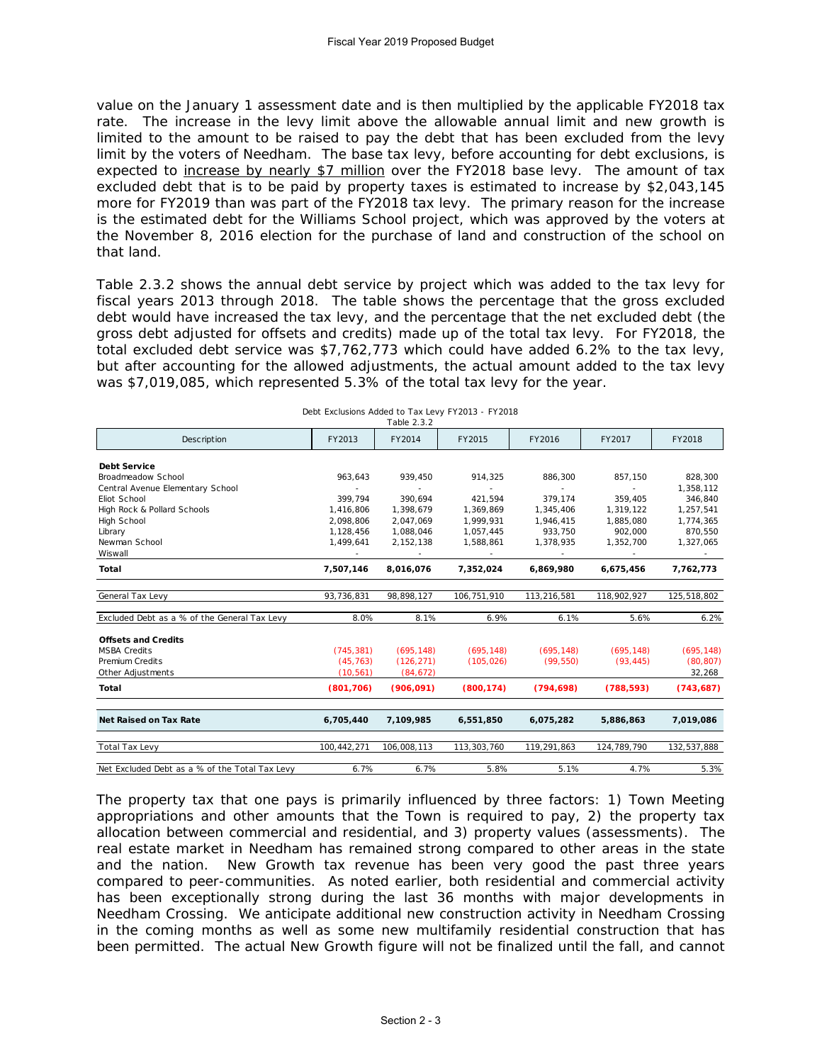value on the January 1 assessment date and is then multiplied by the applicable FY2018 tax rate. The increase in the levy limit above the allowable annual limit and new growth is limited to the amount to be raised to pay the debt that has been excluded from the levy limit by the voters of Needham. The base tax levy, before accounting for debt exclusions, is expected to increase by nearly \$7 million over the FY2018 base levy. The amount of tax excluded debt that is to be paid by property taxes is estimated to increase by \$2,043,145 more for FY2019 than was part of the FY2018 tax levy. The primary reason for the increase is the estimated debt for the Williams School project, which was approved by the voters at the November 8, 2016 election for the purchase of land and construction of the school on that land.

Table 2.3.2 shows the annual debt service by project which was added to the tax levy for fiscal years 2013 through 2018. The table shows the percentage that the gross excluded debt would have increased the tax levy, and the percentage that the net excluded debt (the gross debt adjusted for offsets and credits) made up of the total tax levy. For FY2018, the total excluded debt service was \$7,762,773 which could have added 6.2% to the tax levy, but after accounting for the allowed adjustments, the actual amount added to the tax levy was \$7,019,085, which represented 5.3% of the total tax levy for the year.

|                                                |                          | Table 2.3.2 |             |                          |             |             |
|------------------------------------------------|--------------------------|-------------|-------------|--------------------------|-------------|-------------|
| Description                                    | FY2013                   | FY2014      | FY2015      | FY2016                   | FY2017      | FY2018      |
| <b>Debt Service</b>                            |                          |             |             |                          |             |             |
| Broadmeadow School                             | 963,643                  | 939,450     | 914,325     | 886,300                  | 857,150     | 828,300     |
| Central Avenue Elementary School               | $\overline{\phantom{a}}$ | $\sim$      | $\sim$      | $\overline{\phantom{a}}$ | $\sim$      | 1,358,112   |
| Eliot School                                   | 399,794                  | 390.694     | 421,594     | 379,174                  | 359,405     | 346,840     |
| High Rock & Pollard Schools                    | 1,416,806                | 1,398,679   | 1,369,869   | 1,345,406                | 1,319,122   | 1,257,541   |
| High School                                    | 2,098,806                | 2,047,069   | 1,999,931   | 1,946,415                | 1,885,080   | 1,774,365   |
| Library                                        | 1,128,456                | 1,088,046   | 1,057,445   | 933,750                  | 902,000     | 870,550     |
| Newman School                                  | 1,499,641                | 2, 152, 138 | 1,588,861   | 1,378,935                | 1,352,700   | 1,327,065   |
| Wiswall                                        | $\sim$                   | $\sim$      | $\sim$      | $\sim$                   | $\sim$      | $\sim$      |
| Total                                          | 7,507,146                | 8,016,076   | 7,352,024   | 6,869,980                | 6,675,456   | 7,762,773   |
| General Tax Levy                               | 93,736,831               | 98,898,127  | 106,751,910 | 113,216,581              | 118,902,927 | 125,518,802 |
| Excluded Debt as a % of the General Tax Levy   | 8.0%                     | 8.1%        | 6.9%        | 6.1%                     | 5.6%        | 6.2%        |
| <b>Offsets and Credits</b>                     |                          |             |             |                          |             |             |
| <b>MSBA Credits</b>                            | (745, 381)               | (695, 148)  | (695, 148)  | (695, 148)               | (695, 148)  | (695, 148)  |
| <b>Premium Credits</b>                         | (45, 763)                | (126, 271)  | (105, 026)  | (99, 550)                | (93, 445)   | (80, 807)   |
| Other Adjustments                              | (10, 561)                | (84, 672)   |             |                          |             | 32,268      |
| Total                                          | (801, 706)               | (906, 091)  | (800, 174)  | (794, 698)               | (788, 593)  | (743, 687)  |
| Net Raised on Tax Rate                         | 6,705,440                | 7,109,985   | 6,551,850   | 6,075,282                | 5,886,863   | 7,019,086   |
| Total Tax Levy                                 | 100,442,271              | 106,008,113 | 113,303,760 | 119,291,863              | 124,789,790 | 132,537,888 |
|                                                |                          |             |             |                          |             |             |
| Net Excluded Debt as a % of the Total Tax Levy | 6.7%                     | 6.7%        | 5.8%        | 5.1%                     | 4.7%        | 5.3%        |

Debt Exclusions Added to Tax Levy FY2013 - FY2018

The property tax that one pays is primarily influenced by three factors: 1) Town Meeting appropriations and other amounts that the Town is required to pay, 2) the property tax allocation between commercial and residential, and 3) property values (assessments). The real estate market in Needham has remained strong compared to other areas in the state and the nation. New Growth tax revenue has been very good the past three years compared to peer-communities. As noted earlier, both residential and commercial activity has been exceptionally strong during the last 36 months with major developments in Needham Crossing. We anticipate additional new construction activity in Needham Crossing in the coming months as well as some new multifamily residential construction that has been permitted. The actual New Growth figure will not be finalized until the fall, and cannot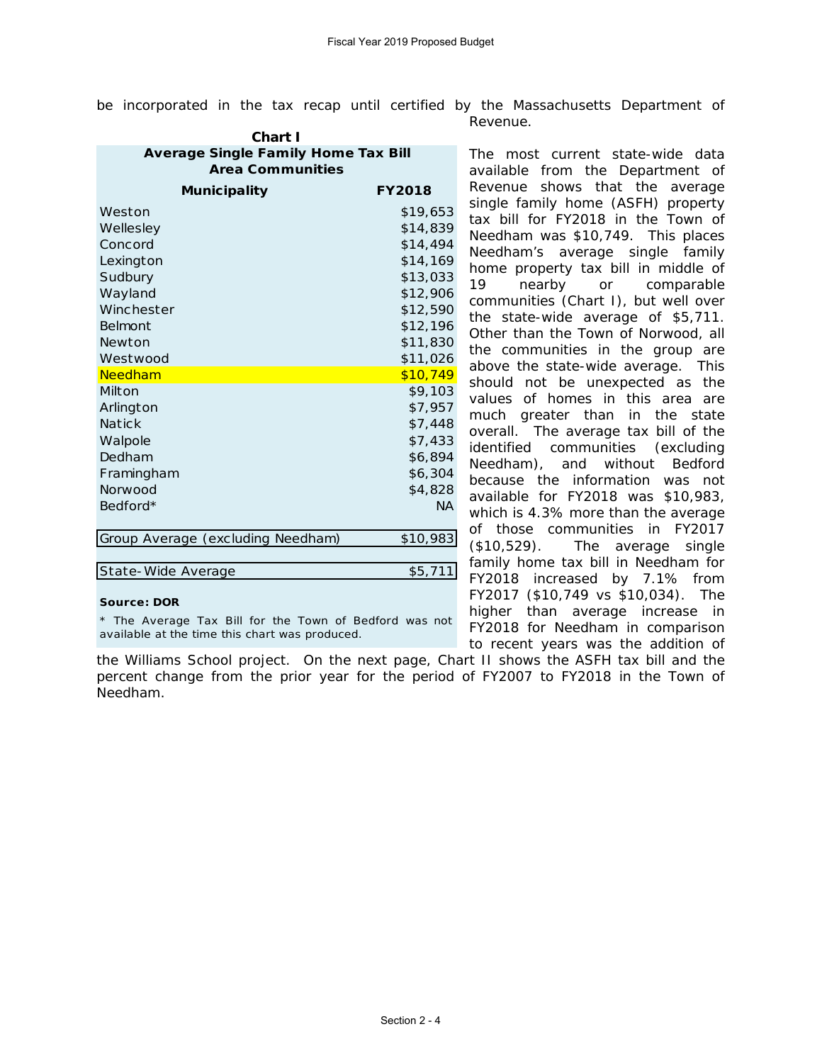be incorporated in the tax recap until certified by the Massachusetts Department of Revenue.

| <b>Average Single Family Home Tax Bill</b><br><b>Area Communities</b> |               |  |  |  |  |  |  |
|-----------------------------------------------------------------------|---------------|--|--|--|--|--|--|
| Municipality                                                          | <b>FY2018</b> |  |  |  |  |  |  |
| Weston                                                                | \$19,653      |  |  |  |  |  |  |
| Wellesley                                                             | \$14,839      |  |  |  |  |  |  |
| Concord                                                               | \$14,494      |  |  |  |  |  |  |
| Lexington                                                             | \$14,169      |  |  |  |  |  |  |
| Sudbury                                                               | \$13,033      |  |  |  |  |  |  |
| Wayland                                                               | \$12,906      |  |  |  |  |  |  |
| Winchester                                                            | \$12,590      |  |  |  |  |  |  |
| Belmont                                                               | \$12,196      |  |  |  |  |  |  |
| Newton                                                                | \$11,830      |  |  |  |  |  |  |
| Westwood                                                              | \$11,026      |  |  |  |  |  |  |
| Needham                                                               | \$10,749      |  |  |  |  |  |  |
| Milton                                                                | \$9,103       |  |  |  |  |  |  |
| Arlington                                                             | \$7,957       |  |  |  |  |  |  |
| Natick                                                                | \$7,448       |  |  |  |  |  |  |
| Walpole                                                               | \$7,433       |  |  |  |  |  |  |
| Dedham                                                                | \$6,894       |  |  |  |  |  |  |
| Framingham                                                            | \$6,304       |  |  |  |  |  |  |
| <b>Norwood</b>                                                        | \$4,828       |  |  |  |  |  |  |
| Bedford*                                                              | <b>NA</b>     |  |  |  |  |  |  |
| Group Average (excluding Needham)                                     | \$10,983      |  |  |  |  |  |  |
|                                                                       |               |  |  |  |  |  |  |
| State-Wide Average                                                    | \$5,711       |  |  |  |  |  |  |

**Source: DOR**

*\* The Average Tax Bill for the Town of Bedford was not available at the time this chart was produced.*

the Williams School project. On the next page, Chart II shows the ASFH tax bill and the percent change from the prior year for the period of FY2007 to FY2018 in the Town of Needham.

available from the Department of Revenue shows that the average single family home (ASFH) property tax bill for FY2018 in the Town of Needham was \$10,749. This places Needham's average single family home property tax bill in middle of 19 nearby or comparable communities (Chart I), but well over the state-wide average of \$5,711. Other than the Town of Norwood, all the communities in the group are above the state-wide average. This should not be unexpected as the values of homes in this area are much greater than in the state overall. The average tax bill of the identified communities (excluding Needham), and without Bedford because the information was not available for FY2018 was \$10,983, which is 4.3% more than the average of those communities in FY2017 (\$10,529). The average single family home tax bill in Needham for FY2018 increased by 7.1% from FY2017 (\$10,749 vs \$10,034). The higher than average increase in FY2018 for Needham in comparison to recent years was the addition of

The most current state-wide data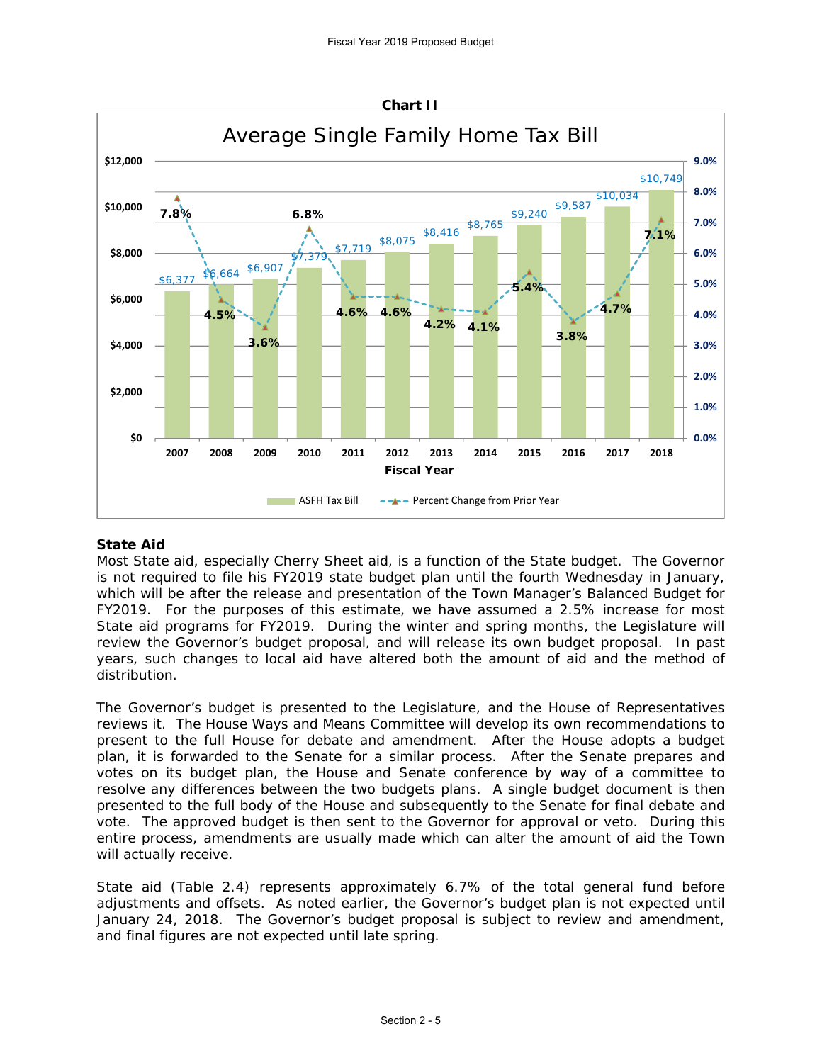

# **State Aid**

Most State aid, especially Cherry Sheet aid, is a function of the State budget. The Governor is not required to file his FY2019 state budget plan until the fourth Wednesday in January, which will be after the release and presentation of the Town Manager's Balanced Budget for FY2019. For the purposes of this estimate, we have assumed a 2.5% increase for most State aid programs for FY2019. During the winter and spring months, the Legislature will review the Governor's budget proposal, and will release its own budget proposal. In past years, such changes to local aid have altered both the amount of aid and the method of distribution.

The Governor's budget is presented to the Legislature, and the House of Representatives reviews it. The House Ways and Means Committee will develop its own recommendations to present to the full House for debate and amendment. After the House adopts a budget plan, it is forwarded to the Senate for a similar process. After the Senate prepares and votes on its budget plan, the House and Senate conference by way of a committee to resolve any differences between the two budgets plans. A single budget document is then presented to the full body of the House and subsequently to the Senate for final debate and vote. The approved budget is then sent to the Governor for approval or veto. During this entire process, amendments are usually made which can alter the amount of aid the Town will actually receive.

State aid (Table 2.4) represents approximately 6.7% of the total general fund before adjustments and offsets. As noted earlier, the Governor's budget plan is not expected until January 24, 2018. The Governor's budget proposal is subject to review and amendment, and final figures are not expected until late spring.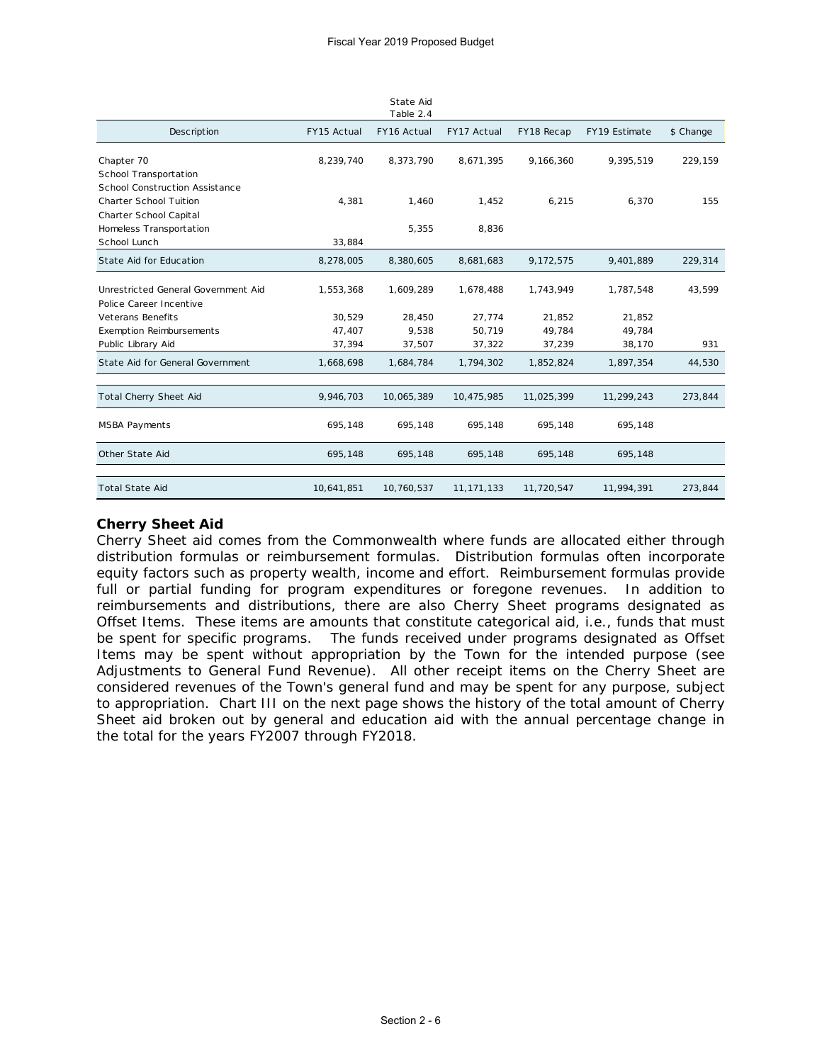|                                     |             | State Aid<br>Table 2.4 |              |            |               |           |
|-------------------------------------|-------------|------------------------|--------------|------------|---------------|-----------|
| Description                         | FY15 Actual | FY16 Actual            | FY17 Actual  | FY18 Recap | FY19 Estimate | \$ Change |
| Chapter 70                          | 8,239,740   | 8,373,790              | 8,671,395    | 9,166,360  | 9,395,519     | 229,159   |
| School Transportation               |             |                        |              |            |               |           |
| School Construction Assistance      |             |                        |              |            |               |           |
| <b>Charter School Tuition</b>       | 4,381       | 1,460                  | 1,452        | 6,215      | 6,370         | 155       |
| Charter School Capital              |             |                        |              |            |               |           |
| Homeless Transportation             |             | 5,355                  | 8,836        |            |               |           |
| School Lunch                        | 33,884      |                        |              |            |               |           |
| State Aid for Education             | 8,278,005   | 8,380,605              | 8,681,683    | 9,172,575  | 9,401,889     | 229,314   |
| Unrestricted General Government Aid | 1,553,368   | 1,609,289              | 1,678,488    | 1,743,949  | 1,787,548     | 43,599    |
| Police Career Incentive             |             |                        |              |            |               |           |
| <b>Veterans Benefits</b>            | 30,529      | 28,450                 | 27,774       | 21,852     | 21,852        |           |
| <b>Exemption Reimbursements</b>     | 47,407      | 9,538                  | 50,719       | 49,784     | 49,784        |           |
| Public Library Aid                  | 37,394      | 37,507                 | 37,322       | 37,239     | 38,170        | 931       |
| State Aid for General Government    | 1,668,698   | 1,684,784              | 1,794,302    | 1,852,824  | 1,897,354     | 44,530    |
|                                     |             |                        |              |            |               |           |
| <b>Total Cherry Sheet Aid</b>       | 9,946,703   | 10,065,389             | 10,475,985   | 11,025,399 | 11,299,243    | 273,844   |
| <b>MSBA Payments</b>                | 695,148     | 695,148                | 695,148      | 695,148    | 695,148       |           |
| Other State Aid                     | 695,148     | 695,148                | 695,148      | 695,148    | 695,148       |           |
|                                     |             |                        |              |            |               |           |
| <b>Total State Aid</b>              | 10,641,851  | 10,760,537             | 11, 171, 133 | 11,720,547 | 11,994,391    | 273,844   |

## **Cherry Sheet Aid**

Cherry Sheet aid comes from the Commonwealth where funds are allocated either through distribution formulas or reimbursement formulas. Distribution formulas often incorporate equity factors such as property wealth, income and effort. Reimbursement formulas provide full or partial funding for program expenditures or foregone revenues. In addition to reimbursements and distributions, there are also Cherry Sheet programs designated as Offset Items. These items are amounts that constitute categorical aid, i.e., funds that must be spent for specific programs. The funds received under programs designated as Offset Items may be spent without appropriation by the Town for the intended purpose (see Adjustments to General Fund Revenue). All other receipt items on the Cherry Sheet are considered revenues of the Town's general fund and may be spent for any purpose, subject to appropriation. Chart III on the next page shows the history of the total amount of Cherry Sheet aid broken out by general and education aid with the annual percentage change in the total for the years FY2007 through FY2018.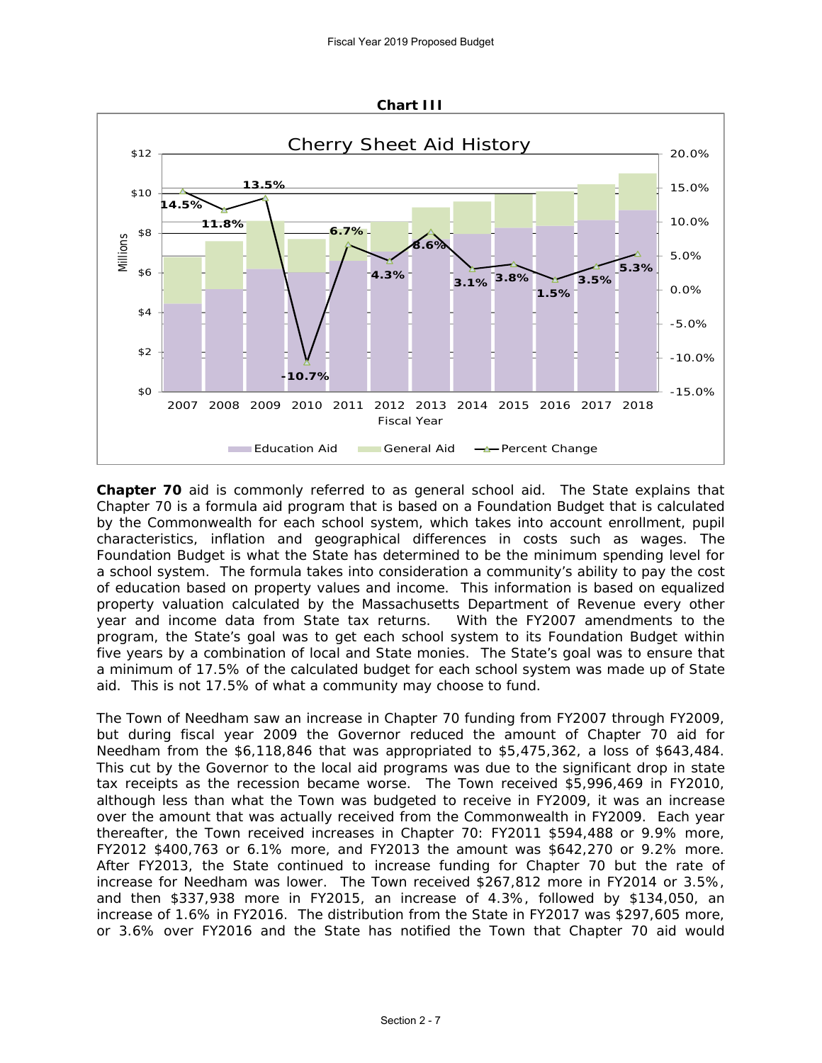

**Chapter 70** aid is commonly referred to as general school aid. The State explains that Chapter 70 is a formula aid program that is based on a Foundation Budget that is calculated by the Commonwealth for each school system, which takes into account enrollment, pupil characteristics, inflation and geographical differences in costs such as wages. The Foundation Budget is what the State has determined to be the minimum spending level for a school system. The formula takes into consideration a community's ability to pay the cost of education based on property values and income. This information is based on equalized property valuation calculated by the Massachusetts Department of Revenue every other year and income data from State tax returns. With the FY2007 amendments to the program, the State's goal was to get each school system to its Foundation Budget within five years by a combination of local and State monies. The State's goal was to ensure that a minimum of 17.5% of the calculated budget for each school system was made up of State aid. This is not 17.5% of what a community may choose to fund.

The Town of Needham saw an increase in Chapter 70 funding from FY2007 through FY2009, but during fiscal year 2009 the Governor reduced the amount of Chapter 70 aid for Needham from the \$6,118,846 that was appropriated to \$5,475,362, a loss of \$643,484. This cut by the Governor to the local aid programs was due to the significant drop in state tax receipts as the recession became worse. The Town received \$5,996,469 in FY2010, although less than what the Town was budgeted to receive in FY2009, it was an increase over the amount that was actually received from the Commonwealth in FY2009. Each year thereafter, the Town received increases in Chapter 70: FY2011 \$594,488 or 9.9% more, FY2012 \$400,763 or 6.1% more, and FY2013 the amount was \$642,270 or 9.2% more. After FY2013, the State continued to increase funding for Chapter 70 but the rate of increase for Needham was lower. The Town received \$267,812 more in FY2014 or 3.5%, and then \$337,938 more in FY2015, an increase of 4.3%, followed by \$134,050, an increase of 1.6% in FY2016. The distribution from the State in FY2017 was \$297,605 more, or 3.6% over FY2016 and the State has notified the Town that Chapter 70 aid would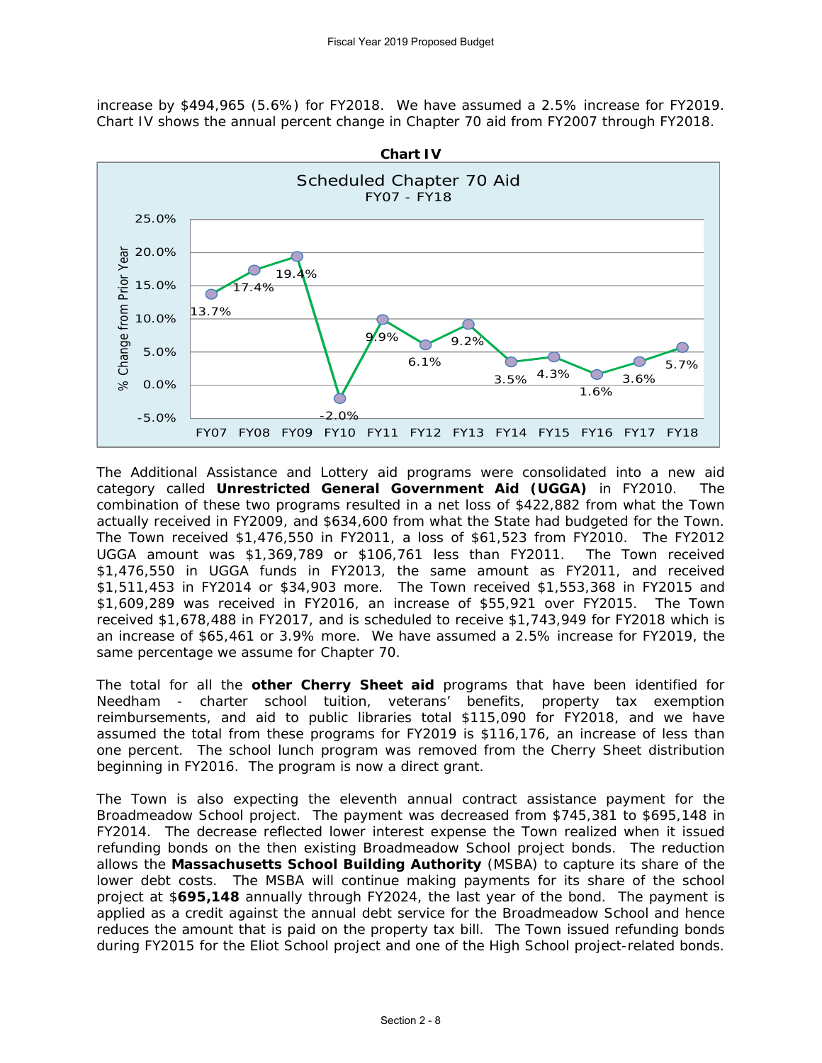increase by \$494,965 (5.6%) for FY2018. We have assumed a 2.5% increase for FY2019. Chart IV shows the annual percent change in Chapter 70 aid from FY2007 through FY2018.



The Additional Assistance and Lottery aid programs were consolidated into a new aid category called **Unrestricted General Government Aid (UGGA)** in FY2010. The combination of these two programs resulted in a net loss of \$422,882 from what the Town actually received in FY2009, and \$634,600 from what the State had budgeted for the Town. The Town received \$1,476,550 in FY2011, a loss of \$61,523 from FY2010. The FY2012 UGGA amount was \$1,369,789 or \$106,761 less than FY2011. The Town received \$1,476,550 in UGGA funds in FY2013, the same amount as FY2011, and received \$1,511,453 in FY2014 or \$34,903 more. The Town received \$1,553,368 in FY2015 and \$1,609,289 was received in FY2016, an increase of \$55,921 over FY2015. The Town received \$1,678,488 in FY2017, and is scheduled to receive \$1,743,949 for FY2018 which is an increase of \$65,461 or 3.9% more. We have assumed a 2.5% increase for FY2019, the same percentage we assume for Chapter 70.

The total for all the **other Cherry Sheet aid** programs that have been identified for Needham - charter school tuition, veterans' benefits, property tax exemption reimbursements, and aid to public libraries total \$115,090 for FY2018, and we have assumed the total from these programs for FY2019 is \$116,176, an increase of less than one percent. The school lunch program was removed from the Cherry Sheet distribution beginning in FY2016. The program is now a direct grant.

The Town is also expecting the eleventh annual contract assistance payment for the Broadmeadow School project. The payment was decreased from \$745,381 to \$695,148 in FY2014. The decrease reflected lower interest expense the Town realized when it issued refunding bonds on the then existing Broadmeadow School project bonds. The reduction allows the **Massachusetts School Building Authority** (MSBA) to capture its share of the lower debt costs. The MSBA will continue making payments for its share of the school project at \$**695,148** annually through FY2024, the last year of the bond. The payment is applied as a credit against the annual debt service for the Broadmeadow School and hence reduces the amount that is paid on the property tax bill. The Town issued refunding bonds during FY2015 for the Eliot School project and one of the High School project-related bonds.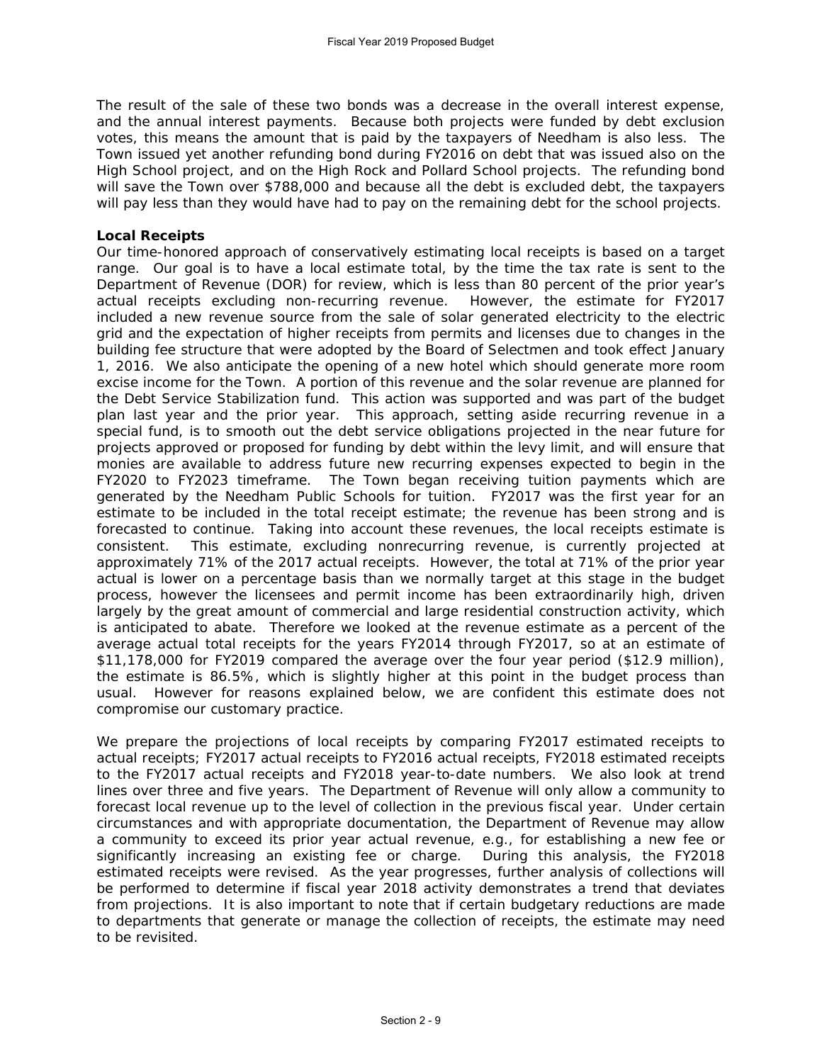The result of the sale of these two bonds was a decrease in the overall interest expense, and the annual interest payments. Because both projects were funded by debt exclusion votes, this means the amount that is paid by the taxpayers of Needham is also less. The Town issued yet another refunding bond during FY2016 on debt that was issued also on the High School project, and on the High Rock and Pollard School projects. The refunding bond will save the Town over \$788,000 and because all the debt is excluded debt, the taxpayers will pay less than they would have had to pay on the remaining debt for the school projects.

# **Local Receipts**

Our time-honored approach of conservatively estimating local receipts is based on a target range. Our goal is to have a local estimate total, by the time the tax rate is sent to the Department of Revenue (DOR) for review, which is less than 80 percent of the prior year's actual receipts excluding non-recurring revenue. However, the estimate for FY2017 included a new revenue source from the sale of solar generated electricity to the electric grid and the expectation of higher receipts from permits and licenses due to changes in the building fee structure that were adopted by the Board of Selectmen and took effect January 1, 2016. We also anticipate the opening of a new hotel which should generate more room excise income for the Town. A portion of this revenue and the solar revenue are planned for the Debt Service Stabilization fund. This action was supported and was part of the budget plan last year and the prior year. This approach, setting aside recurring revenue in a special fund, is to smooth out the debt service obligations projected in the near future for projects approved or proposed for funding by debt within the levy limit, and will ensure that monies are available to address future new recurring expenses expected to begin in the FY2020 to FY2023 timeframe. The Town began receiving tuition payments which are generated by the Needham Public Schools for tuition. FY2017 was the first year for an estimate to be included in the total receipt estimate; the revenue has been strong and is forecasted to continue. Taking into account these revenues, the local receipts estimate is consistent. This estimate, excluding nonrecurring revenue, is currently projected at approximately 71% of the 2017 actual receipts. However, the total at 71% of the prior year actual is lower on a percentage basis than we normally target at this stage in the budget process, however the licensees and permit income has been extraordinarily high, driven largely by the great amount of commercial and large residential construction activity, which is anticipated to abate. Therefore we looked at the revenue estimate as a percent of the average actual total receipts for the years FY2014 through FY2017, so at an estimate of \$11,178,000 for FY2019 compared the average over the four year period (\$12.9 million), the estimate is 86.5%, which is slightly higher at this point in the budget process than usual. However for reasons explained below, we are confident this estimate does not compromise our customary practice.

We prepare the projections of local receipts by comparing FY2017 estimated receipts to actual receipts; FY2017 actual receipts to FY2016 actual receipts, FY2018 estimated receipts to the FY2017 actual receipts and FY2018 year-to-date numbers. We also look at trend lines over three and five years. The Department of Revenue will only allow a community to forecast local revenue up to the level of collection in the previous fiscal year. Under certain circumstances and with appropriate documentation, the Department of Revenue may allow a community to exceed its prior year actual revenue, e.g., for establishing a new fee or significantly increasing an existing fee or charge. During this analysis, the FY2018 estimated receipts were revised. As the year progresses, further analysis of collections will be performed to determine if fiscal year 2018 activity demonstrates a trend that deviates from projections. It is also important to note that if certain budgetary reductions are made to departments that generate or manage the collection of receipts, the estimate may need to be revisited.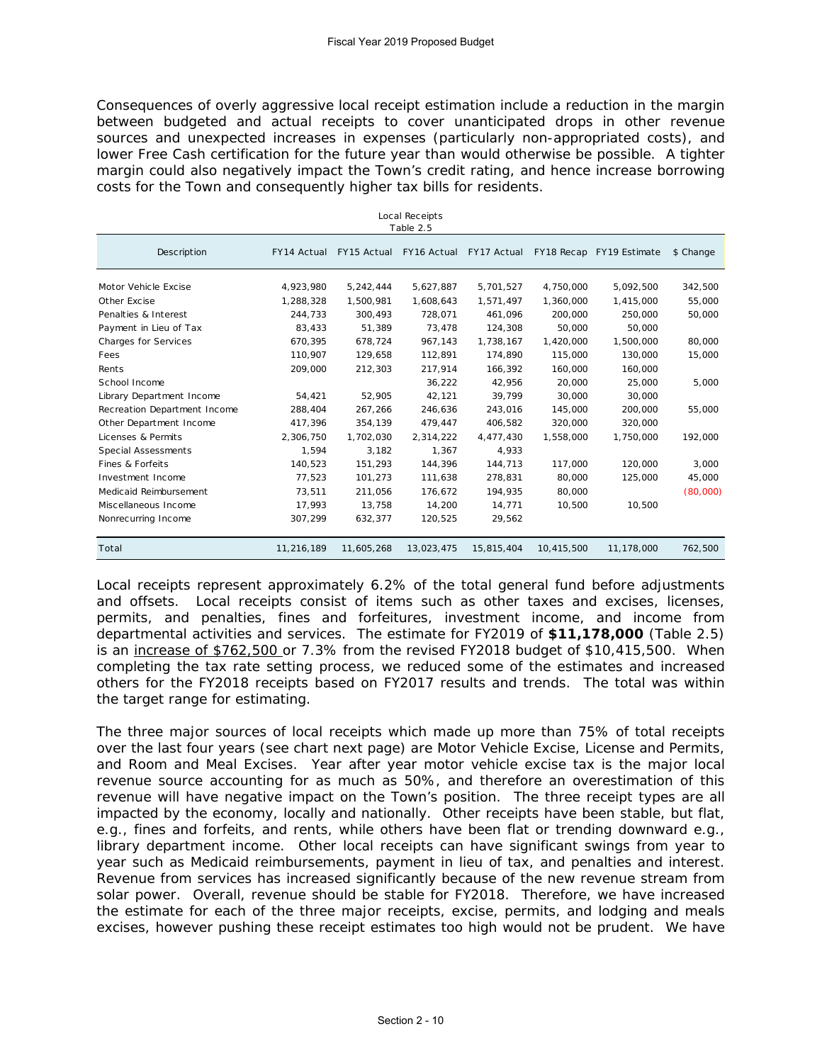Consequences of overly aggressive local receipt estimation include a reduction in the margin between budgeted and actual receipts to cover unanticipated drops in other revenue sources and unexpected increases in expenses (particularly non-appropriated costs), and lower Free Cash certification for the future year than would otherwise be possible. A tighter margin could also negatively impact the Town's credit rating, and hence increase borrowing costs for the Town and consequently higher tax bills for residents.

Local Receipts

| LUCAI RECEIPLS<br>Table 2.5  |             |             |             |             |            |                          |           |  |
|------------------------------|-------------|-------------|-------------|-------------|------------|--------------------------|-----------|--|
| Description                  | FY14 Actual | FY15 Actual | FY16 Actual | FY17 Actual |            | FY18 Recap FY19 Estimate | \$ Change |  |
| Motor Vehicle Excise         | 4,923,980   | 5,242,444   | 5,627,887   | 5,701,527   | 4,750,000  | 5,092,500                | 342,500   |  |
| Other Excise                 | 1,288,328   | 1,500,981   | 1,608,643   | 1,571,497   | 1,360,000  | 1,415,000                | 55,000    |  |
| Penalties & Interest         | 244,733     | 300,493     | 728,071     | 461,096     | 200,000    | 250,000                  | 50,000    |  |
| Payment in Lieu of Tax       | 83,433      | 51,389      | 73,478      | 124,308     | 50,000     | 50,000                   |           |  |
| Charges for Services         | 670,395     | 678,724     | 967,143     | 1,738,167   | 1,420,000  | 1,500,000                | 80,000    |  |
| Fees                         | 110,907     | 129,658     | 112,891     | 174.890     | 115,000    | 130,000                  | 15,000    |  |
| Rents                        | 209,000     | 212,303     | 217,914     | 166,392     | 160,000    | 160,000                  |           |  |
| School Income                |             |             | 36,222      | 42,956      | 20,000     | 25,000                   | 5,000     |  |
| Library Department Income    | 54,421      | 52,905      | 42,121      | 39,799      | 30,000     | 30,000                   |           |  |
| Recreation Department Income | 288,404     | 267,266     | 246,636     | 243,016     | 145,000    | 200,000                  | 55,000    |  |
| Other Department Income      | 417,396     | 354,139     | 479,447     | 406,582     | 320,000    | 320,000                  |           |  |
| Licenses & Permits           | 2,306,750   | 1,702,030   | 2,314,222   | 4,477,430   | 1.558.000  | 1.750.000                | 192,000   |  |
| Special Assessments          | 1.594       | 3,182       | 1,367       | 4,933       |            |                          |           |  |
| Fines & Forfeits             | 140,523     | 151,293     | 144,396     | 144,713     | 117,000    | 120,000                  | 3,000     |  |
| Investment Income            | 77,523      | 101,273     | 111,638     | 278,831     | 80,000     | 125,000                  | 45,000    |  |
| Medicaid Reimbursement       | 73,511      | 211,056     | 176,672     | 194,935     | 80,000     |                          | (80,000)  |  |
| Miscellaneous Income         | 17,993      | 13,758      | 14,200      | 14,771      | 10,500     | 10,500                   |           |  |
| Nonrecurring Income          | 307,299     | 632,377     | 120,525     | 29,562      |            |                          |           |  |
| Total                        | 11,216,189  | 11,605,268  | 13,023,475  | 15,815,404  | 10,415,500 | 11,178,000               | 762,500   |  |

Local receipts represent approximately 6.2% of the total general fund before adjustments and offsets. Local receipts consist of items such as other taxes and excises, licenses, permits, and penalties, fines and forfeitures, investment income, and income from departmental activities and services. The estimate for FY2019 of **\$11,178,000** (Table 2.5) is an increase of \$762,500 or 7.3% from the revised FY2018 budget of \$10,415,500. When completing the tax rate setting process, we reduced some of the estimates and increased others for the FY2018 receipts based on FY2017 results and trends. The total was within the target range for estimating.

The three major sources of local receipts which made up more than 75% of total receipts over the last four years (see chart next page) are Motor Vehicle Excise, License and Permits, and Room and Meal Excises. Year after year motor vehicle excise tax is the major local revenue source accounting for as much as 50%, and therefore an overestimation of this revenue will have negative impact on the Town's position. The three receipt types are all impacted by the economy, locally and nationally. Other receipts have been stable, but flat, e.g., fines and forfeits, and rents, while others have been flat or trending downward e.g., library department income. Other local receipts can have significant swings from year to year such as Medicaid reimbursements, payment in lieu of tax, and penalties and interest. Revenue from services has increased significantly because of the new revenue stream from solar power. Overall, revenue should be stable for FY2018. Therefore, we have increased the estimate for each of the three major receipts, excise, permits, and lodging and meals excises, however pushing these receipt estimates too high would not be prudent. We have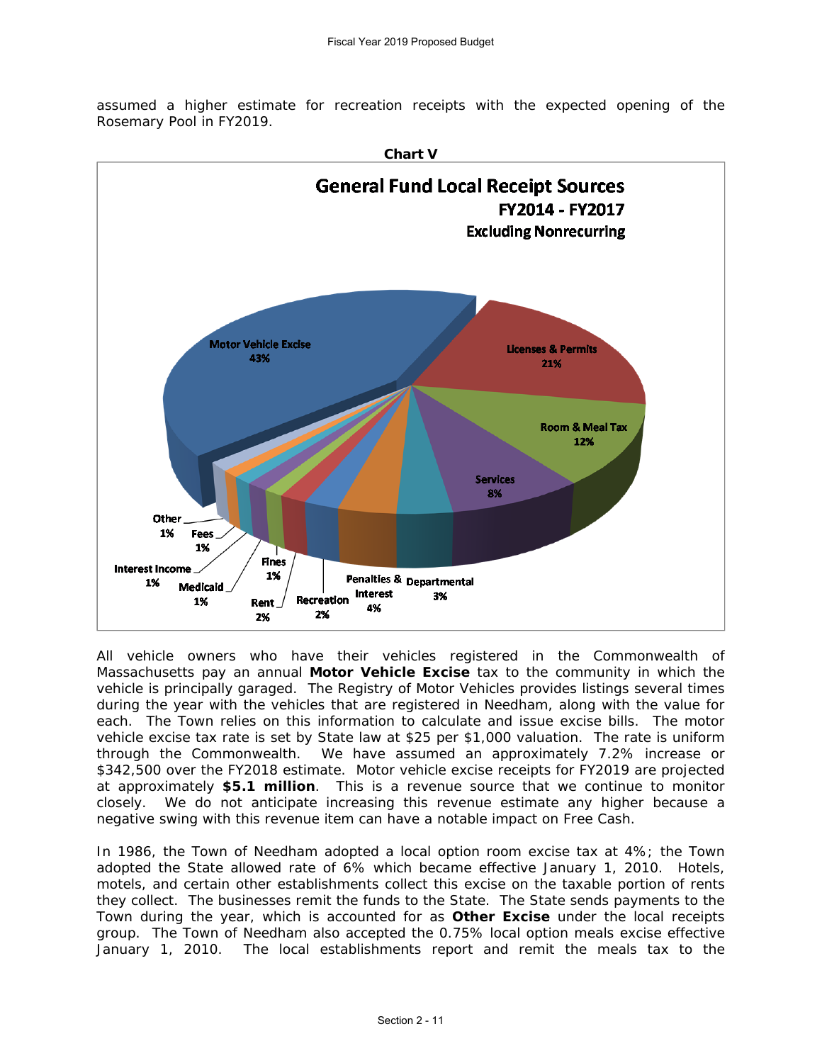assumed a higher estimate for recreation receipts with the expected opening of the Rosemary Pool in FY2019.



All vehicle owners who have their vehicles registered in the Commonwealth of Massachusetts pay an annual **Motor Vehicle Excise** tax to the community in which the vehicle is principally garaged. The Registry of Motor Vehicles provides listings several times during the year with the vehicles that are registered in Needham, along with the value for each. The Town relies on this information to calculate and issue excise bills. The motor vehicle excise tax rate is set by State law at \$25 per \$1,000 valuation. The rate is uniform through the Commonwealth. We have assumed an approximately 7.2% increase or \$342,500 over the FY2018 estimate. Motor vehicle excise receipts for FY2019 are projected at approximately **\$5.1 million**. This is a revenue source that we continue to monitor closely. We do not anticipate increasing this revenue estimate any higher because a negative swing with this revenue item can have a notable impact on Free Cash.

In 1986, the Town of Needham adopted a local option room excise tax at 4%; the Town adopted the State allowed rate of 6% which became effective January 1, 2010. Hotels, motels, and certain other establishments collect this excise on the taxable portion of rents they collect. The businesses remit the funds to the State. The State sends payments to the Town during the year, which is accounted for as **Other Excise** under the local receipts group. The Town of Needham also accepted the 0.75% local option meals excise effective January 1, 2010. The local establishments report and remit the meals tax to the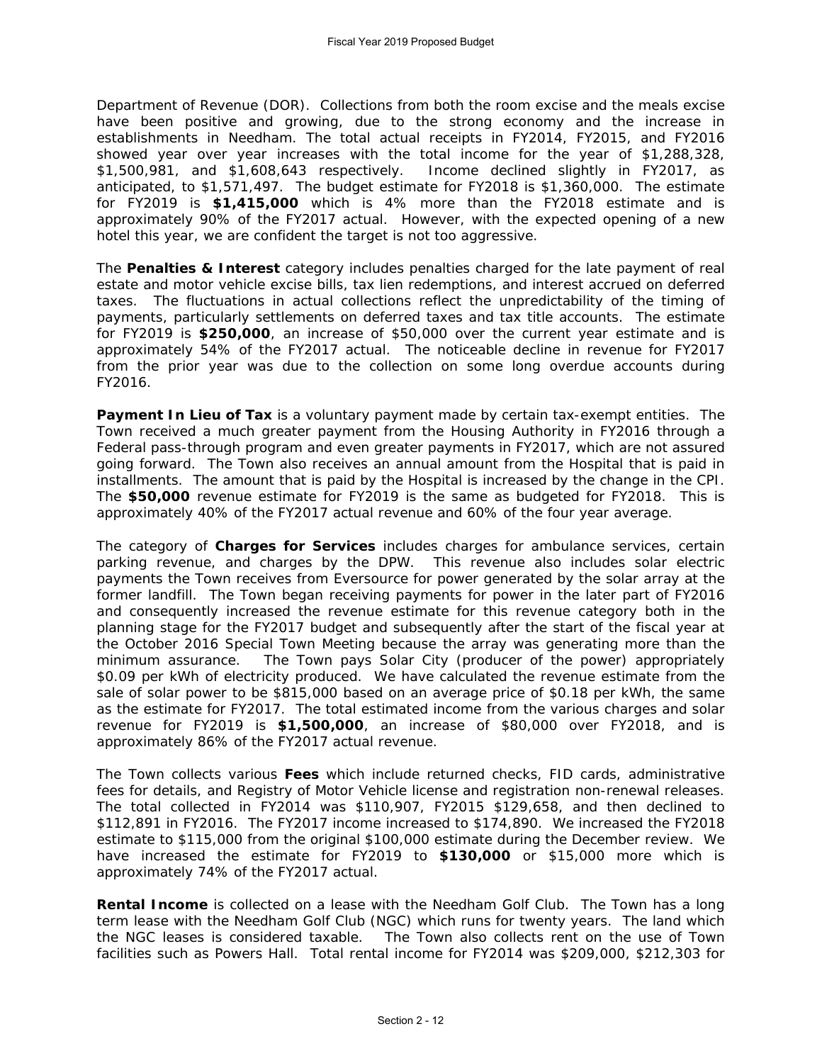Department of Revenue (DOR). Collections from both the room excise and the meals excise have been positive and growing, due to the strong economy and the increase in establishments in Needham. The total actual receipts in FY2014, FY2015, and FY2016 showed year over year increases with the total income for the year of \$1,288,328, \$1,500,981, and \$1,608,643 respectively. Income declined slightly in FY2017, as anticipated, to \$1,571,497. The budget estimate for FY2018 is \$1,360,000. The estimate for FY2019 is **\$1,415,000** which is 4% more than the FY2018 estimate and is approximately 90% of the FY2017 actual. However, with the expected opening of a new hotel this year, we are confident the target is not too aggressive.

The **Penalties & Interest** category includes penalties charged for the late payment of real estate and motor vehicle excise bills, tax lien redemptions, and interest accrued on deferred taxes. The fluctuations in actual collections reflect the unpredictability of the timing of payments, particularly settlements on deferred taxes and tax title accounts. The estimate for FY2019 is **\$250,000**, an increase of \$50,000 over the current year estimate and is approximately 54% of the FY2017 actual. The noticeable decline in revenue for FY2017 from the prior year was due to the collection on some long overdue accounts during FY2016.

**Payment In Lieu of Tax** is a voluntary payment made by certain tax-exempt entities. The Town received a much greater payment from the Housing Authority in FY2016 through a Federal pass-through program and even greater payments in FY2017, which are not assured going forward. The Town also receives an annual amount from the Hospital that is paid in installments. The amount that is paid by the Hospital is increased by the change in the CPI. The **\$50,000** revenue estimate for FY2019 is the same as budgeted for FY2018. This is approximately 40% of the FY2017 actual revenue and 60% of the four year average.

The category of **Charges for Services** includes charges for ambulance services, certain parking revenue, and charges by the DPW. This revenue also includes solar electric payments the Town receives from Eversource for power generated by the solar array at the former landfill. The Town began receiving payments for power in the later part of FY2016 and consequently increased the revenue estimate for this revenue category both in the planning stage for the FY2017 budget and subsequently after the start of the fiscal year at the October 2016 Special Town Meeting because the array was generating more than the minimum assurance. The Town pays Solar City (producer of the power) appropriately \$0.09 per kWh of electricity produced. We have calculated the revenue estimate from the sale of solar power to be \$815,000 based on an average price of \$0.18 per kWh, the same as the estimate for FY2017. The total estimated income from the various charges and solar revenue for FY2019 is **\$1,500,000**, an increase of \$80,000 over FY2018, and is approximately 86% of the FY2017 actual revenue.

The Town collects various **Fees** which include returned checks, FID cards, administrative fees for details, and Registry of Motor Vehicle license and registration non-renewal releases. The total collected in FY2014 was \$110,907, FY2015 \$129,658, and then declined to \$112,891 in FY2016. The FY2017 income increased to \$174,890. We increased the FY2018 estimate to \$115,000 from the original \$100,000 estimate during the December review. We have increased the estimate for FY2019 to **\$130,000** or \$15,000 more which is approximately 74% of the FY2017 actual.

**Rental Income** is collected on a lease with the Needham Golf Club. The Town has a long term lease with the Needham Golf Club (NGC) which runs for twenty years. The land which the NGC leases is considered taxable. The Town also collects rent on the use of Town facilities such as Powers Hall. Total rental income for FY2014 was \$209,000, \$212,303 for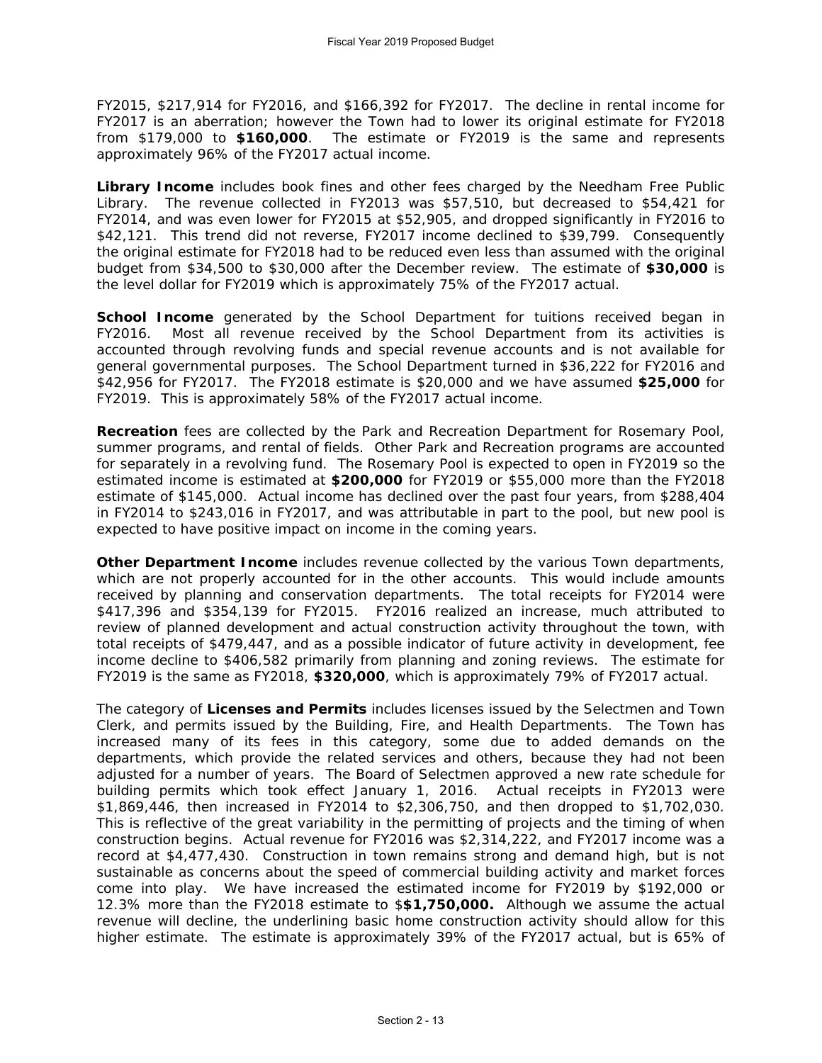FY2015, \$217,914 for FY2016, and \$166,392 for FY2017. The decline in rental income for FY2017 is an aberration; however the Town had to lower its original estimate for FY2018 from \$179,000 to **\$160,000**. The estimate or FY2019 is the same and represents approximately 96% of the FY2017 actual income.

**Library Income** includes book fines and other fees charged by the Needham Free Public Library. The revenue collected in FY2013 was \$57,510, but decreased to \$54,421 for FY2014, and was even lower for FY2015 at \$52,905, and dropped significantly in FY2016 to \$42,121. This trend did not reverse, FY2017 income declined to \$39,799. Consequently the original estimate for FY2018 had to be reduced even less than assumed with the original budget from \$34,500 to \$30,000 after the December review. The estimate of **\$30,000** is the level dollar for FY2019 which is approximately 75% of the FY2017 actual.

School Income generated by the School Department for tuitions received began in FY2016. Most all revenue received by the School Department from its activities is accounted through revolving funds and special revenue accounts and is not available for general governmental purposes. The School Department turned in \$36,222 for FY2016 and \$42,956 for FY2017. The FY2018 estimate is \$20,000 and we have assumed **\$25,000** for FY2019. This is approximately 58% of the FY2017 actual income.

**Recreation** fees are collected by the Park and Recreation Department for Rosemary Pool, summer programs, and rental of fields. Other Park and Recreation programs are accounted for separately in a revolving fund. The Rosemary Pool is expected to open in FY2019 so the estimated income is estimated at **\$200,000** for FY2019 or \$55,000 more than the FY2018 estimate of \$145,000. Actual income has declined over the past four years, from \$288,404 in FY2014 to \$243,016 in FY2017, and was attributable in part to the pool, but new pool is expected to have positive impact on income in the coming years.

**Other Department Income** includes revenue collected by the various Town departments, which are not properly accounted for in the other accounts. This would include amounts received by planning and conservation departments. The total receipts for FY2014 were \$417,396 and \$354,139 for FY2015. FY2016 realized an increase, much attributed to review of planned development and actual construction activity throughout the town, with total receipts of \$479,447, and as a possible indicator of future activity in development, fee income decline to \$406,582 primarily from planning and zoning reviews. The estimate for FY2019 is the same as FY2018, **\$320,000**, which is approximately 79% of FY2017 actual.

The category of **Licenses and Permits** includes licenses issued by the Selectmen and Town Clerk, and permits issued by the Building, Fire, and Health Departments. The Town has increased many of its fees in this category, some due to added demands on the departments, which provide the related services and others, because they had not been adjusted for a number of years. The Board of Selectmen approved a new rate schedule for building permits which took effect January 1, 2016. Actual receipts in FY2013 were \$1,869,446, then increased in FY2014 to \$2,306,750, and then dropped to \$1,702,030. This is reflective of the great variability in the permitting of projects and the timing of when construction begins. Actual revenue for FY2016 was \$2,314,222, and FY2017 income was a record at \$4,477,430. Construction in town remains strong and demand high, but is not sustainable as concerns about the speed of commercial building activity and market forces come into play. We have increased the estimated income for FY2019 by \$192,000 or 12.3% more than the FY2018 estimate to \$**\$1,750,000.** Although we assume the actual revenue will decline, the underlining basic home construction activity should allow for this higher estimate. The estimate is approximately 39% of the FY2017 actual, but is 65% of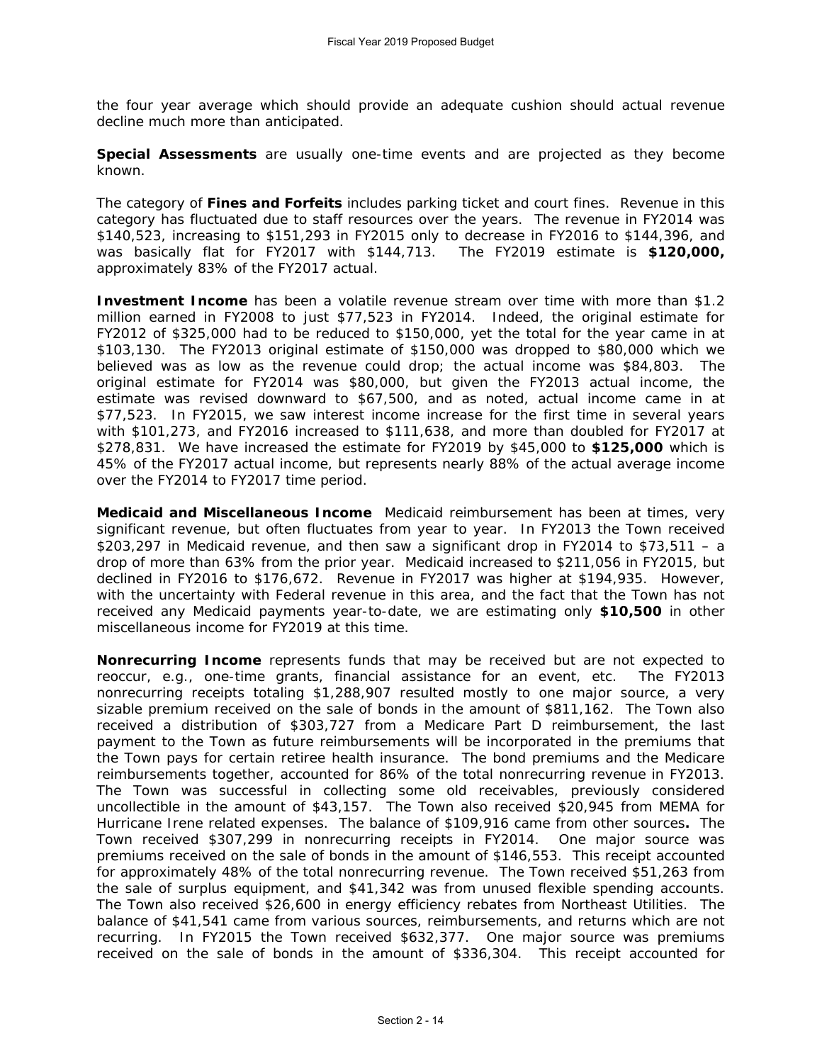the four year average which should provide an adequate cushion should actual revenue decline much more than anticipated.

**Special Assessments** are usually one-time events and are projected as they become known.

The category of **Fines and Forfeits** includes parking ticket and court fines. Revenue in this category has fluctuated due to staff resources over the years. The revenue in FY2014 was \$140,523, increasing to \$151,293 in FY2015 only to decrease in FY2016 to \$144,396, and was basically flat for FY2017 with \$144,713. The FY2019 estimate is **\$120,000,**  approximately 83% of the FY2017 actual.

**Investment Income** has been a volatile revenue stream over time with more than \$1.2 million earned in FY2008 to just \$77,523 in FY2014. Indeed, the original estimate for FY2012 of \$325,000 had to be reduced to \$150,000, yet the total for the year came in at \$103,130. The FY2013 original estimate of \$150,000 was dropped to \$80,000 which we believed was as low as the revenue could drop; the actual income was \$84,803. The original estimate for FY2014 was \$80,000, but given the FY2013 actual income, the estimate was revised downward to \$67,500, and as noted, actual income came in at \$77,523. In FY2015, we saw interest income increase for the first time in several years with \$101,273, and FY2016 increased to \$111,638, and more than doubled for FY2017 at \$278,831. We have increased the estimate for FY2019 by \$45,000 to **\$125,000** which is 45% of the FY2017 actual income, but represents nearly 88% of the actual average income over the FY2014 to FY2017 time period.

**Medicaid and Miscellaneous Income** Medicaid reimbursement has been at times, very significant revenue, but often fluctuates from year to year. In FY2013 the Town received \$203,297 in Medicaid revenue, and then saw a significant drop in FY2014 to \$73,511 – a drop of more than 63% from the prior year. Medicaid increased to \$211,056 in FY2015, but declined in FY2016 to \$176,672. Revenue in FY2017 was higher at \$194,935. However, with the uncertainty with Federal revenue in this area, and the fact that the Town has not received any Medicaid payments year-to-date, we are estimating only **\$10,500** in other miscellaneous income for FY2019 at this time.

**Nonrecurring Income** represents funds that may be received but are not expected to reoccur, e.g., one-time grants, financial assistance for an event, etc. The FY2013 nonrecurring receipts totaling \$1,288,907 resulted mostly to one major source, a very sizable premium received on the sale of bonds in the amount of \$811,162. The Town also received a distribution of \$303,727 from a Medicare Part D reimbursement, the last payment to the Town as future reimbursements will be incorporated in the premiums that the Town pays for certain retiree health insurance. The bond premiums and the Medicare reimbursements together, accounted for 86% of the total nonrecurring revenue in FY2013. The Town was successful in collecting some old receivables, previously considered uncollectible in the amount of \$43,157. The Town also received \$20,945 from MEMA for Hurricane Irene related expenses. The balance of \$109,916 came from other sources**.** The Town received \$307,299 in nonrecurring receipts in FY2014. One major source was premiums received on the sale of bonds in the amount of \$146,553. This receipt accounted for approximately 48% of the total nonrecurring revenue. The Town received \$51,263 from the sale of surplus equipment, and \$41,342 was from unused flexible spending accounts. The Town also received \$26,600 in energy efficiency rebates from Northeast Utilities. The balance of \$41,541 came from various sources, reimbursements, and returns which are not recurring. In FY2015 the Town received \$632,377. One major source was premiums received on the sale of bonds in the amount of \$336,304. This receipt accounted for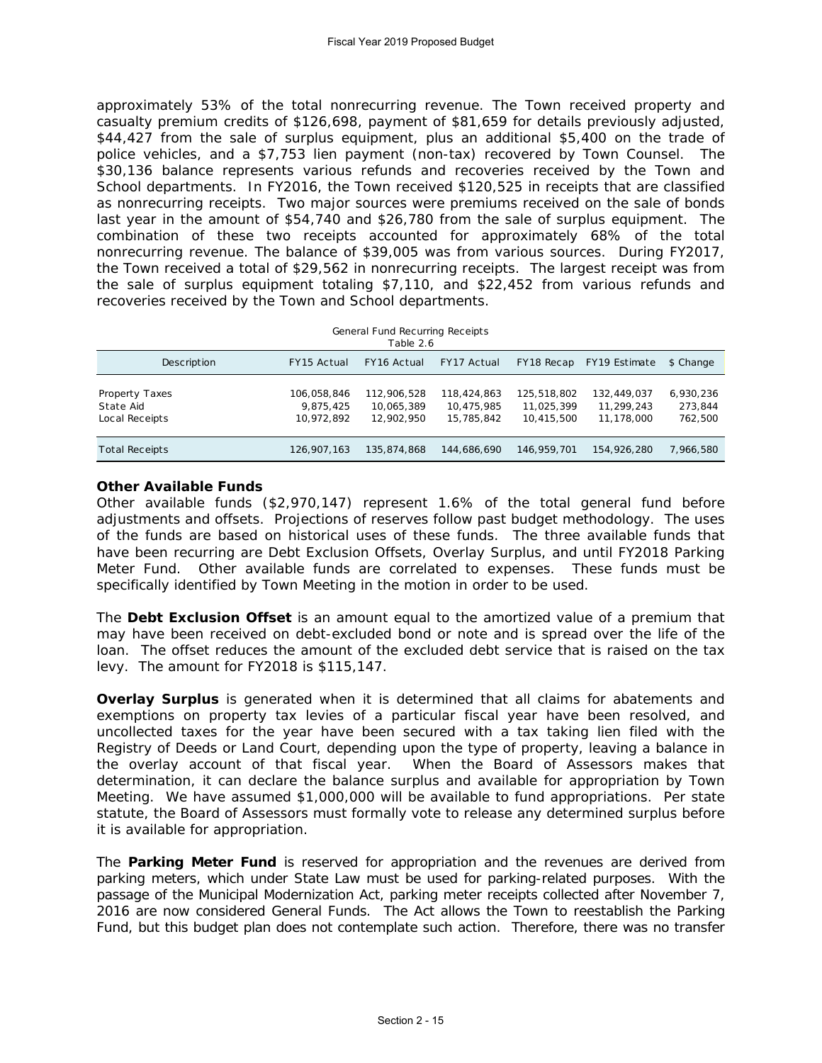approximately 53% of the total nonrecurring revenue. The Town received property and casualty premium credits of \$126,698, payment of \$81,659 for details previously adjusted, \$44,427 from the sale of surplus equipment, plus an additional \$5,400 on the trade of police vehicles, and a \$7,753 lien payment (non-tax) recovered by Town Counsel. The \$30,136 balance represents various refunds and recoveries received by the Town and School departments. In FY2016, the Town received \$120,525 in receipts that are classified as nonrecurring receipts. Two major sources were premiums received on the sale of bonds last year in the amount of \$54,740 and \$26,780 from the sale of surplus equipment. The combination of these two receipts accounted for approximately 68% of the total nonrecurring revenue. The balance of \$39,005 was from various sources. During FY2017, the Town received a total of \$29,562 in nonrecurring receipts. The largest receipt was from the sale of surplus equipment totaling \$7,110, and \$22,452 from various refunds and recoveries received by the Town and School departments.

| General Fund Recurring Receipts<br>Table 2.6  |                                        |                                         |                                         |                                         |                                         |                                 |  |
|-----------------------------------------------|----------------------------------------|-----------------------------------------|-----------------------------------------|-----------------------------------------|-----------------------------------------|---------------------------------|--|
| Description                                   | FY15 Actual                            | FY16 Actual                             | FY17 Actual                             | FY18 Recap                              | FY19 Estimate                           | \$ Change                       |  |
| Property Taxes<br>State Aid<br>Local Receipts | 106,058,846<br>9.875.425<br>10.972.892 | 112,906,528<br>10,065,389<br>12,902,950 | 118,424,863<br>10,475,985<br>15,785,842 | 125,518,802<br>11,025,399<br>10.415.500 | 132,449,037<br>11.299.243<br>11,178,000 | 6,930,236<br>273,844<br>762,500 |  |
| <b>Total Receipts</b>                         | 126.907.163                            | 135,874,868                             | 144,686,690                             | 146.959.701                             | 154,926,280                             | 7,966,580                       |  |

## **Other Available Funds**

Other available funds (\$2,970,147) represent 1.6% of the total general fund before adjustments and offsets. Projections of reserves follow past budget methodology. The uses of the funds are based on historical uses of these funds. The three available funds that have been recurring are Debt Exclusion Offsets, Overlay Surplus, and until FY2018 Parking Meter Fund. Other available funds are correlated to expenses. These funds must be specifically identified by Town Meeting in the motion in order to be used.

The **Debt Exclusion Offset** is an amount equal to the amortized value of a premium that may have been received on debt-excluded bond or note and is spread over the life of the loan. The offset reduces the amount of the excluded debt service that is raised on the tax levy. The amount for FY2018 is \$115,147.

**Overlay Surplus** is generated when it is determined that all claims for abatements and exemptions on property tax levies of a particular fiscal year have been resolved, and uncollected taxes for the year have been secured with a tax taking lien filed with the Registry of Deeds or Land Court, depending upon the type of property, leaving a balance in the overlay account of that fiscal year. When the Board of Assessors makes that determination, it can declare the balance surplus and available for appropriation by Town Meeting. We have assumed \$1,000,000 will be available to fund appropriations. Per state statute, the Board of Assessors must formally vote to release any determined surplus before it is available for appropriation.

The **Parking Meter Fund** is reserved for appropriation and the revenues are derived from parking meters, which under State Law must be used for parking-related purposes. With the passage of the Municipal Modernization Act, parking meter receipts collected after November 7, 2016 are now considered General Funds. The Act allows the Town to reestablish the Parking Fund, but this budget plan does not contemplate such action. Therefore, there was no transfer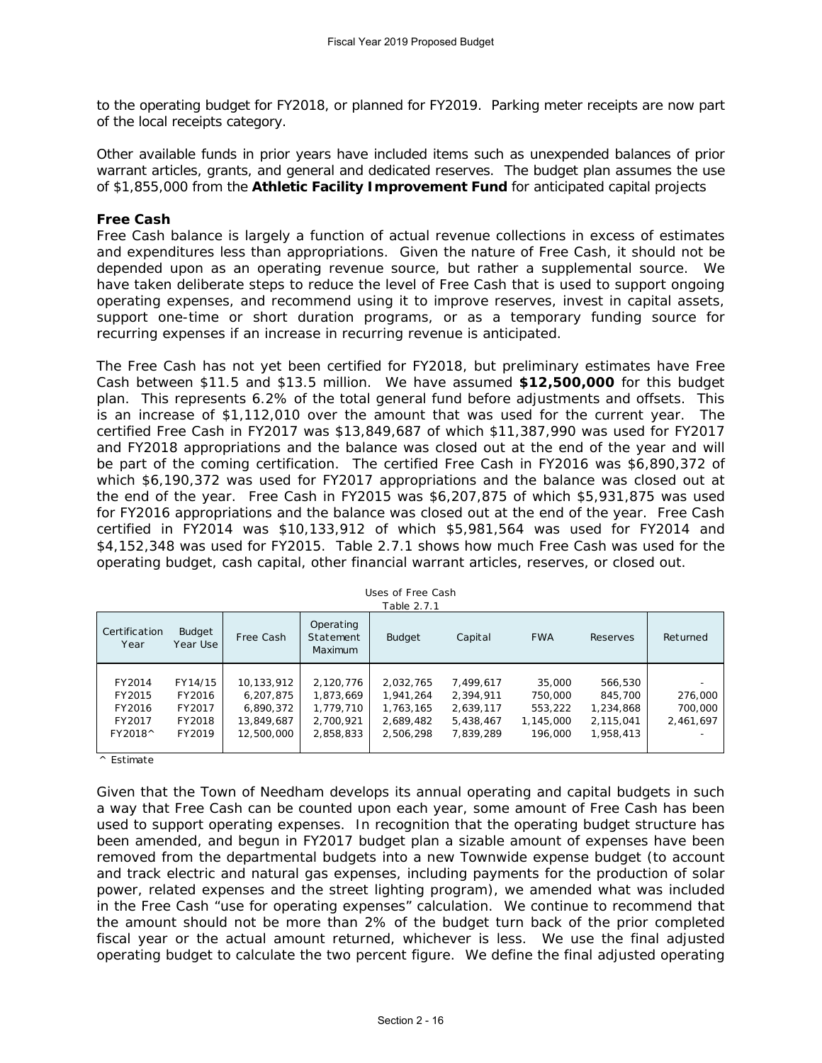to the operating budget for FY2018, or planned for FY2019. Parking meter receipts are now part of the local receipts category.

Other available funds in prior years have included items such as unexpended balances of prior warrant articles, grants, and general and dedicated reserves. The budget plan assumes the use of \$1,855,000 from the **Athletic Facility Improvement Fund** for anticipated capital projects

## **Free Cash**

Free Cash balance is largely a function of actual revenue collections in excess of estimates and expenditures less than appropriations. Given the nature of Free Cash, it should not be depended upon as an operating revenue source, but rather a supplemental source. We have taken deliberate steps to reduce the level of Free Cash that is used to support ongoing operating expenses, and recommend using it to improve reserves, invest in capital assets, support one-time or short duration programs, or as a temporary funding source for recurring expenses if an increase in recurring revenue is anticipated.

The Free Cash has not yet been certified for FY2018, but preliminary estimates have Free Cash between \$11.5 and \$13.5 million. We have assumed **\$12,500,000** for this budget plan. This represents 6.2% of the total general fund before adjustments and offsets. This is an increase of \$1,112,010 over the amount that was used for the current year. The certified Free Cash in FY2017 was \$13,849,687 of which \$11,387,990 was used for FY2017 and FY2018 appropriations and the balance was closed out at the end of the year and will be part of the coming certification. The certified Free Cash in FY2016 was \$6,890,372 of which \$6,190,372 was used for FY2017 appropriations and the balance was closed out at the end of the year. Free Cash in FY2015 was \$6,207,875 of which \$5,931,875 was used for FY2016 appropriations and the balance was closed out at the end of the year. Free Cash certified in FY2014 was \$10,133,912 of which \$5,981,564 was used for FY2014 and \$4,152,348 was used for FY2015. Table 2.7.1 shows how much Free Cash was used for the operating budget, cash capital, other financial warrant articles, reserves, or closed out.

| Certification<br>Year                           | <b>Budget</b><br>Year Use                       | Free Cash                                                        | Operating<br>Statement<br><b>Maximum</b>                      | <b>Budget</b>                                                 | Capital                                                       | <b>FWA</b>                                           | Reserves                                                  | Returned                        |
|-------------------------------------------------|-------------------------------------------------|------------------------------------------------------------------|---------------------------------------------------------------|---------------------------------------------------------------|---------------------------------------------------------------|------------------------------------------------------|-----------------------------------------------------------|---------------------------------|
| FY2014<br>FY2015<br>FY2016<br>FY2017<br>FY2018^ | FY14/15<br>FY2016<br>FY2017<br>FY2018<br>FY2019 | 10,133,912<br>6,207,875<br>6,890,372<br>13,849,687<br>12,500,000 | 2,120,776<br>1,873,669<br>1,779,710<br>2,700,921<br>2,858,833 | 2,032,765<br>1,941,264<br>1,763,165<br>2,689,482<br>2,506,298 | 7.499.617<br>2.394.911<br>2.639.117<br>5,438,467<br>7.839.289 | 35,000<br>750,000<br>553,222<br>1,145,000<br>196,000 | 566,530<br>845,700<br>1,234,868<br>2,115,041<br>1,958,413 | 276,000<br>700,000<br>2,461,697 |

Uses of Free Cash Table 2.7.1

^ Estimate

Given that the Town of Needham develops its annual operating and capital budgets in such a way that Free Cash can be counted upon each year, some amount of Free Cash has been used to support operating expenses. In recognition that the operating budget structure has been amended, and begun in FY2017 budget plan a sizable amount of expenses have been removed from the departmental budgets into a new Townwide expense budget (to account and track electric and natural gas expenses, including payments for the production of solar power, related expenses and the street lighting program), we amended what was included in the Free Cash "use for operating expenses" calculation. We continue to recommend that the amount should not be more than 2% of the budget turn back of the prior completed fiscal year or the actual amount returned, whichever is less. We use the final adjusted operating budget to calculate the two percent figure. We define the final adjusted operating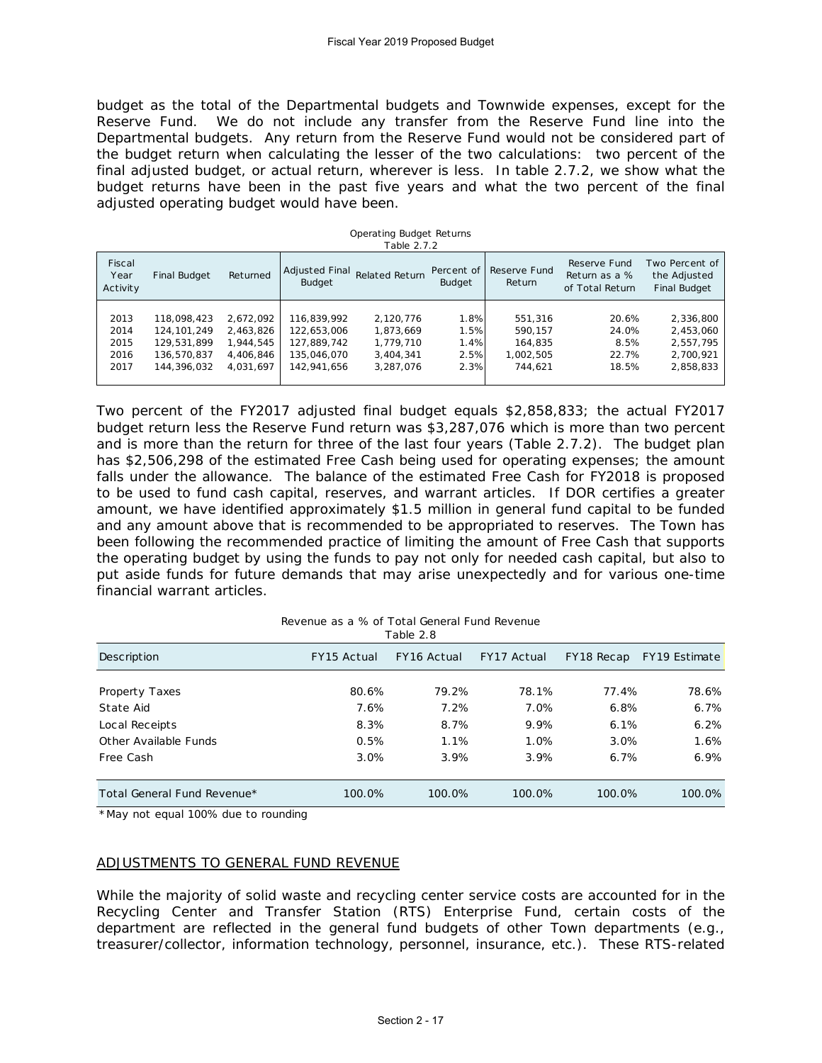budget as the total of the Departmental budgets and Townwide expenses, except for the Reserve Fund. We do not include any transfer from the Reserve Fund line into the Departmental budgets. Any return from the Reserve Fund would not be considered part of the budget return when calculating the lesser of the two calculations: two percent of the final adjusted budget, or actual return, wherever is less. In table 2.7.2, we show what the budget returns have been in the past five years and what the two percent of the final adjusted operating budget would have been.

| Fiscal<br>Year<br>Activity | Final Budget  | Returned  | <b>Adjusted Final</b><br>Budget | Related Return | Percent of<br><b>Budget</b> | Reserve Fund<br>Return | Reserve Fund<br>Return as a %<br>of Total Return | Two Percent of<br>the Adjusted<br><b>Final Budget</b> |
|----------------------------|---------------|-----------|---------------------------------|----------------|-----------------------------|------------------------|--------------------------------------------------|-------------------------------------------------------|
| 2013                       | 118,098,423   | 2.672.092 | 116.839.992                     | 2.120.776      | 1.8%                        | 551.316                | 20.6%                                            | 2,336,800                                             |
| 2014                       | 124, 101, 249 | 2,463,826 | 122,653,006                     | 1.873.669      | 1.5%                        | 590.157                | 24.0%                                            | 2,453,060                                             |
| 2015                       | 129,531,899   | 1,944,545 | 127,889,742                     | 1,779,710      | 1.4%                        | 164,835                | 8.5%                                             | 2,557,795                                             |
| 2016                       | 136,570,837   | 4.406.846 | 135,046,070                     | 3.404.341      | 2.5%                        | 1.002.505              | 22.7%                                            | 2,700,921                                             |
| 2017                       | 144,396,032   | 4.031.697 | 142.941.656                     | 3.287.076      | 2.3%                        | 744.621                | 18.5%                                            | 2,858,833                                             |

Operating Budget Returns

Two percent of the FY2017 adjusted final budget equals \$2,858,833; the actual FY2017 budget return less the Reserve Fund return was \$3,287,076 which is more than two percent and is more than the return for three of the last four years (Table 2.7.2). The budget plan has \$2,506,298 of the estimated Free Cash being used for operating expenses; the amount falls under the allowance. The balance of the estimated Free Cash for FY2018 is proposed to be used to fund cash capital, reserves, and warrant articles. If DOR certifies a greater amount, we have identified approximately \$1.5 million in general fund capital to be funded and any amount above that is recommended to be appropriated to reserves. The Town has been following the recommended practice of limiting the amount of Free Cash that supports the operating budget by using the funds to pay not only for needed cash capital, but also to put aside funds for future demands that may arise unexpectedly and for various one-time

Description FY15 Actual FY16 Actual FY17 Actual FY18 Recap FY19 Estimate Property Taxes 80.6% 79.2% 78.1% 77.4% 78.6% State Aid 7.6% 7.2% 7.0% 6.8% 6.7% Local Receipts 8.3% 8.7% 9.9% 6.1% 6.2% Other Available Funds 0.5% 1.1% 1.0% 3.0% 1.6% Free Cash 3.0% 3.9% 3.9% 6.7% 6.9% Total General Fund Revenue\* 100.0% 100.0% 100.0% 100.0% 100.0% Revenue as a % of Total General Fund Revenue Table 2.8

\*May not equal 100% due to rounding

financial warrant articles.

#### ADJUSTMENTS TO GENERAL FUND REVENUE

While the majority of solid waste and recycling center service costs are accounted for in the Recycling Center and Transfer Station (RTS) Enterprise Fund, certain costs of the department are reflected in the general fund budgets of other Town departments (e.g., treasurer/collector, information technology, personnel, insurance, etc.). These RTS-related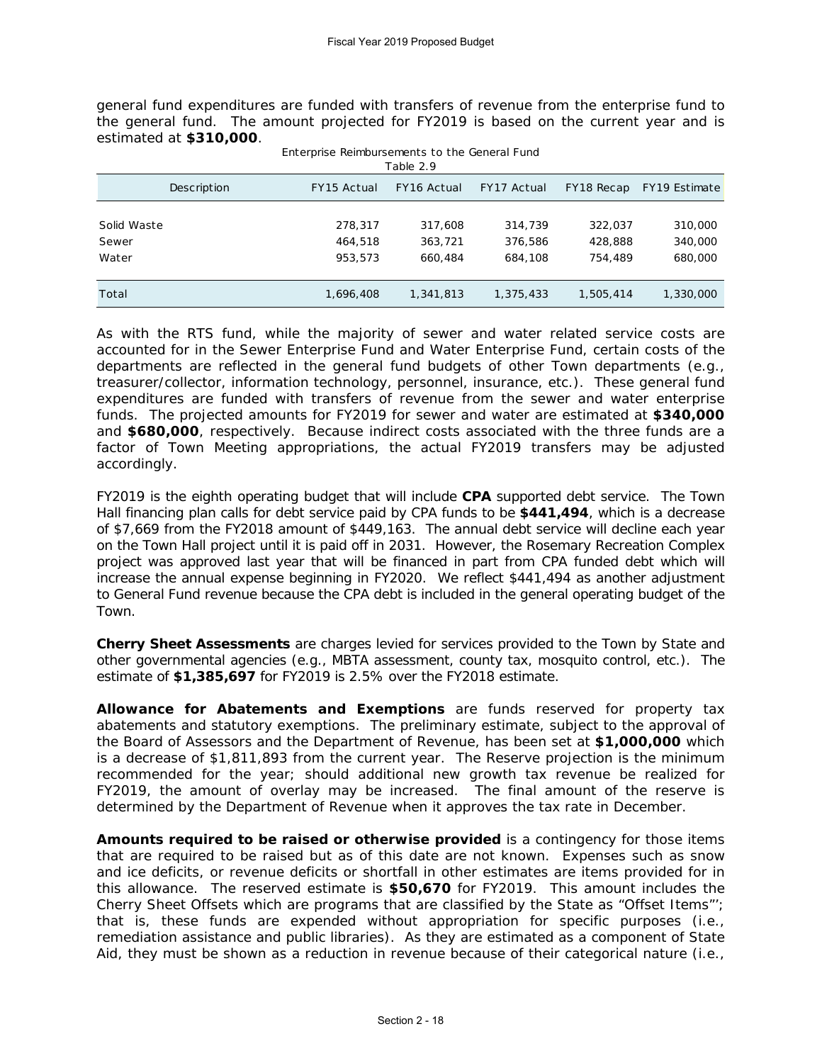general fund expenditures are funded with transfers of revenue from the enterprise fund to the general fund. The amount projected for FY2019 is based on the current year and is estimated at **\$310,000**.

Enterprise Reimbursements to the General Fund

| Table 2.9   |             |             |             |            |               |  |  |  |
|-------------|-------------|-------------|-------------|------------|---------------|--|--|--|
| Description | FY15 Actual | FY16 Actual | FY17 Actual | FY18 Recap | FY19 Estimate |  |  |  |
|             |             |             |             |            |               |  |  |  |
| Solid Waste | 278,317     | 317,608     | 314,739     | 322,037    | 310,000       |  |  |  |
| Sewer       | 464,518     | 363,721     | 376,586     | 428,888    | 340,000       |  |  |  |
| Water       | 953,573     | 660,484     | 684,108     | 754,489    | 680,000       |  |  |  |
|             |             |             |             |            |               |  |  |  |
| Total       | 1,696,408   | 1,341,813   | 1,375,433   | 1,505,414  | 1,330,000     |  |  |  |

As with the RTS fund, while the majority of sewer and water related service costs are accounted for in the Sewer Enterprise Fund and Water Enterprise Fund, certain costs of the departments are reflected in the general fund budgets of other Town departments (e.g., treasurer/collector, information technology, personnel, insurance, etc.). These general fund expenditures are funded with transfers of revenue from the sewer and water enterprise funds. The projected amounts for FY2019 for sewer and water are estimated at **\$340,000** and **\$680,000**, respectively. Because indirect costs associated with the three funds are a factor of Town Meeting appropriations, the actual FY2019 transfers may be adjusted accordingly.

FY2019 is the eighth operating budget that will include **CPA** supported debt service. The Town Hall financing plan calls for debt service paid by CPA funds to be **\$441,494**, which is a decrease of \$7,669 from the FY2018 amount of \$449,163. The annual debt service will decline each year on the Town Hall project until it is paid off in 2031. However, the Rosemary Recreation Complex project was approved last year that will be financed in part from CPA funded debt which will increase the annual expense beginning in FY2020. We reflect \$441,494 as another adjustment to General Fund revenue because the CPA debt is included in the general operating budget of the Town.

**Cherry Sheet Assessments** are charges levied for services provided to the Town by State and other governmental agencies (e.g., MBTA assessment, county tax, mosquito control, etc.). The estimate of **\$1,385,697** for FY2019 is 2.5% over the FY2018 estimate.

**Allowance for Abatements and Exemptions** are funds reserved for property tax abatements and statutory exemptions. The preliminary estimate, subject to the approval of the Board of Assessors and the Department of Revenue, has been set at **\$1,000,000** which is a decrease of \$1,811,893 from the current year. The Reserve projection is the minimum recommended for the year; should additional new growth tax revenue be realized for FY2019, the amount of overlay may be increased. The final amount of the reserve is determined by the Department of Revenue when it approves the tax rate in December.

**Amounts required to be raised or otherwise provided** is a contingency for those items that are required to be raised but as of this date are not known. Expenses such as snow and ice deficits, or revenue deficits or shortfall in other estimates are items provided for in this allowance. The reserved estimate is **\$50,670** for FY2019. This amount includes the Cherry Sheet Offsets which are programs that are classified by the State as "Offset Items"'; that is, these funds are expended without appropriation for specific purposes (i.e., remediation assistance and public libraries). As they are estimated as a component of State Aid, they must be shown as a reduction in revenue because of their categorical nature (i.e.,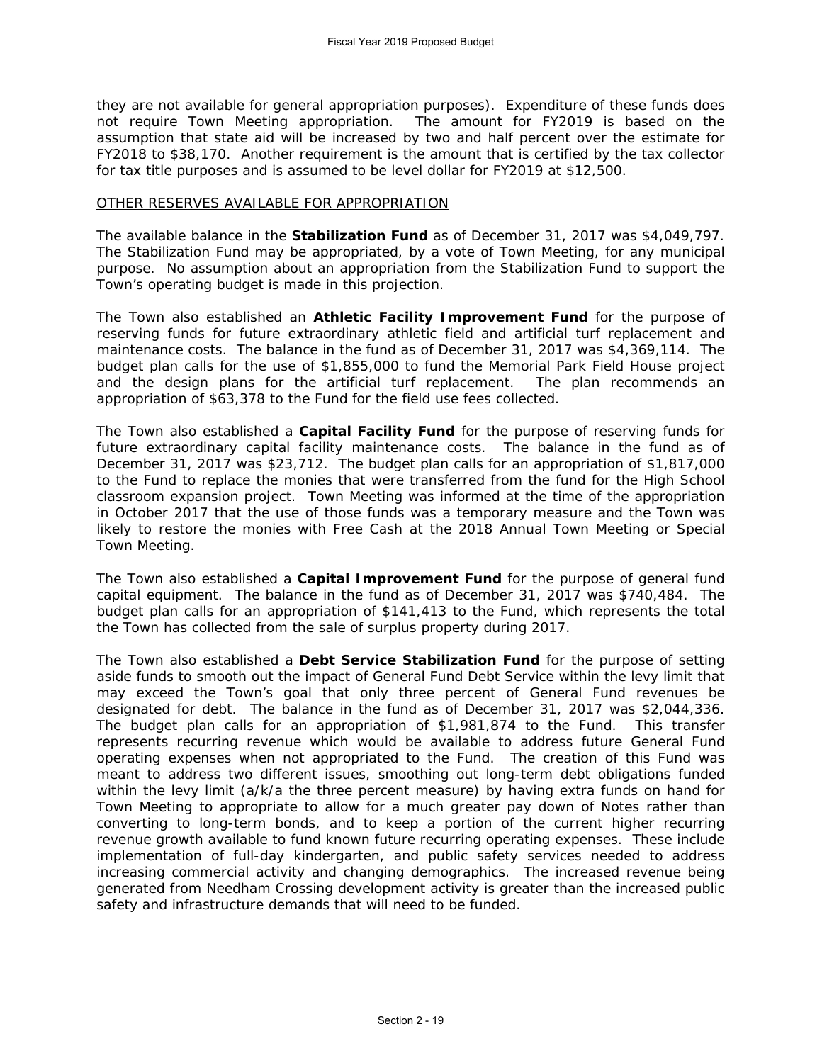they are not available for general appropriation purposes). Expenditure of these funds does not require Town Meeting appropriation. The amount for FY2019 is based on the assumption that state aid will be increased by two and half percent over the estimate for FY2018 to \$38,170. Another requirement is the amount that is certified by the tax collector for tax title purposes and is assumed to be level dollar for FY2019 at \$12,500.

## OTHER RESERVES AVAILABLE FOR APPROPRIATION

The available balance in the **Stabilization Fund** as of December 31, 2017 was \$4,049,797. The Stabilization Fund may be appropriated, by a vote of Town Meeting, for any municipal purpose. No assumption about an appropriation from the Stabilization Fund to support the Town's operating budget is made in this projection.

The Town also established an **Athletic Facility Improvement Fund** for the purpose of reserving funds for future extraordinary athletic field and artificial turf replacement and maintenance costs. The balance in the fund as of December 31, 2017 was \$4,369,114. The budget plan calls for the use of \$1,855,000 to fund the Memorial Park Field House project and the design plans for the artificial turf replacement. The plan recommends an appropriation of \$63,378 to the Fund for the field use fees collected.

The Town also established a **Capital Facility Fund** for the purpose of reserving funds for future extraordinary capital facility maintenance costs. The balance in the fund as of December 31, 2017 was \$23,712. The budget plan calls for an appropriation of \$1,817,000 to the Fund to replace the monies that were transferred from the fund for the High School classroom expansion project. Town Meeting was informed at the time of the appropriation in October 2017 that the use of those funds was a temporary measure and the Town was likely to restore the monies with Free Cash at the 2018 Annual Town Meeting or Special Town Meeting.

The Town also established a **Capital Improvement Fund** for the purpose of general fund capital equipment. The balance in the fund as of December 31, 2017 was \$740,484. The budget plan calls for an appropriation of \$141,413 to the Fund, which represents the total the Town has collected from the sale of surplus property during 2017.

The Town also established a **Debt Service Stabilization Fund** for the purpose of setting aside funds to smooth out the impact of General Fund Debt Service within the levy limit that may exceed the Town's goal that only three percent of General Fund revenues be designated for debt. The balance in the fund as of December 31, 2017 was \$2,044,336. The budget plan calls for an appropriation of \$1,981,874 to the Fund. This transfer represents recurring revenue which would be available to address future General Fund operating expenses when not appropriated to the Fund. The creation of this Fund was meant to address two different issues, smoothing out long-term debt obligations funded within the levy limit (a/k/a the three percent measure) by having extra funds on hand for Town Meeting to appropriate to allow for a much greater pay down of Notes rather than converting to long-term bonds, and to keep a portion of the current higher recurring revenue growth available to fund known future recurring operating expenses. These include implementation of full-day kindergarten, and public safety services needed to address increasing commercial activity and changing demographics. The increased revenue being generated from Needham Crossing development activity is greater than the increased public safety and infrastructure demands that will need to be funded.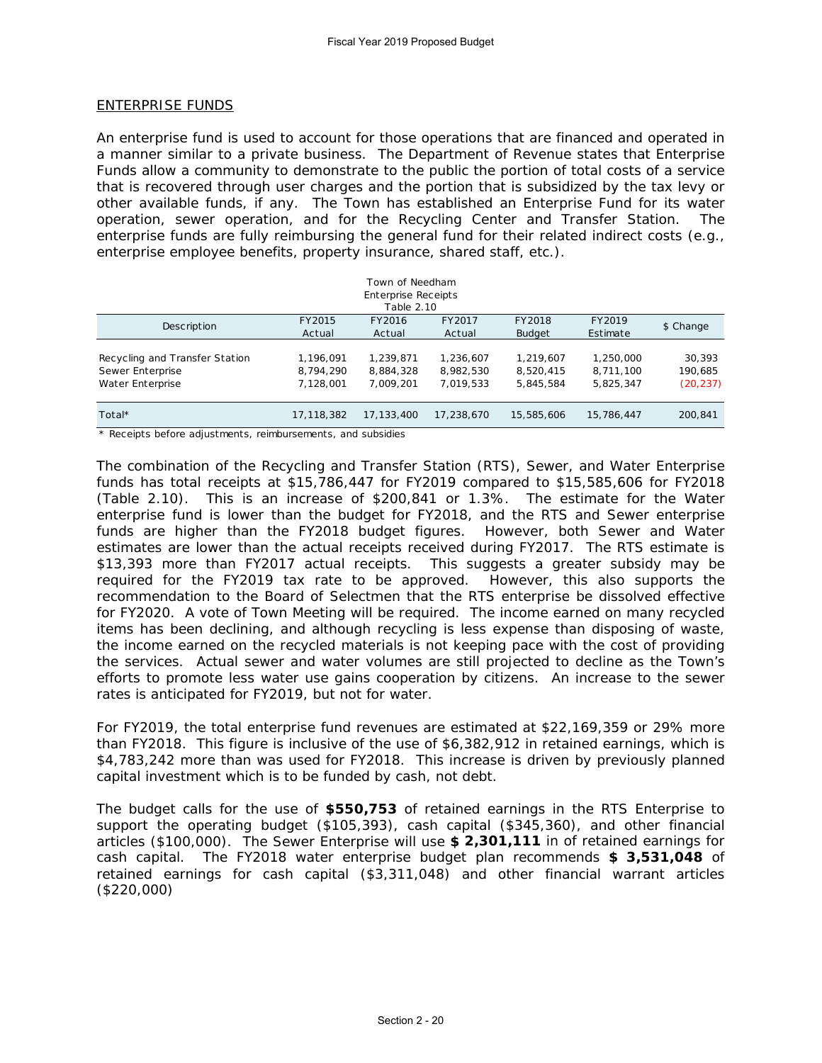## ENTERPRISE FUNDS

An enterprise fund is used to account for those operations that are financed and operated in a manner similar to a private business. The Department of Revenue states that Enterprise Funds allow a community to demonstrate to the public the portion of total costs of a service that is recovered through user charges and the portion that is subsidized by the tax levy or other available funds, if any. The Town has established an Enterprise Fund for its water operation, sewer operation, and for the Recycling Center and Transfer Station. The enterprise funds are fully reimbursing the general fund for their related indirect costs (e.g., enterprise employee benefits, property insurance, shared staff, etc.).

| Town of Needham                |            |                            |            |               |            |           |  |
|--------------------------------|------------|----------------------------|------------|---------------|------------|-----------|--|
|                                |            | <b>Enterprise Receipts</b> |            |               |            |           |  |
|                                |            | Table 2.10                 |            |               |            |           |  |
|                                | FY2015     | FY2016                     | FY2017     | FY2018        | FY2019     |           |  |
| <b>Description</b>             | Actual     | Actual                     | Actual     | <b>Budget</b> | Estimate   | \$ Change |  |
|                                |            |                            |            |               |            |           |  |
| Recycling and Transfer Station | 1.196.091  | 1,239,871                  | 1,236,607  | 1,219,607     | 1,250,000  | 30,393    |  |
| Sewer Enterprise               | 8,794,290  | 8,884,328                  | 8,982,530  | 8,520,415     | 8.711.100  | 190,685   |  |
| Water Enterprise               | 7,128,001  | 7.009.201                  | 7.019.533  | 5,845,584     | 5,825,347  | (20, 237) |  |
|                                |            |                            |            |               |            |           |  |
| Total*                         | 17.118.382 | 17.133.400                 | 17.238.670 | 15,585,606    | 15,786,447 | 200,841   |  |
|                                |            |                            |            |               |            |           |  |

\* Receipts before adjustments, reimbursements, and subsidies

The combination of the Recycling and Transfer Station (RTS), Sewer, and Water Enterprise funds has total receipts at \$15,786,447 for FY2019 compared to \$15,585,606 for FY2018 (Table 2.10). This is an increase of \$200,841 or 1.3%. The estimate for the Water enterprise fund is lower than the budget for FY2018, and the RTS and Sewer enterprise funds are higher than the FY2018 budget figures. However, both Sewer and Water estimates are lower than the actual receipts received during FY2017. The RTS estimate is \$13,393 more than FY2017 actual receipts. This suggests a greater subsidy may be required for the FY2019 tax rate to be approved. However, this also supports the recommendation to the Board of Selectmen that the RTS enterprise be dissolved effective for FY2020. A vote of Town Meeting will be required. The income earned on many recycled items has been declining, and although recycling is less expense than disposing of waste, the income earned on the recycled materials is not keeping pace with the cost of providing the services. Actual sewer and water volumes are still projected to decline as the Town's efforts to promote less water use gains cooperation by citizens. An increase to the sewer rates is anticipated for FY2019, but not for water.

For FY2019, the total enterprise fund revenues are estimated at \$22,169,359 or 29% more than FY2018. This figure is inclusive of the use of \$6,382,912 in retained earnings, which is \$4,783,242 more than was used for FY2018. This increase is driven by previously planned capital investment which is to be funded by cash, not debt.

The budget calls for the use of **\$550,753** of retained earnings in the RTS Enterprise to support the operating budget (\$105,393), cash capital (\$345,360), and other financial articles (\$100,000). The Sewer Enterprise will use **\$ 2,301,111** in of retained earnings for cash capital. The FY2018 water enterprise budget plan recommends **\$ 3,531,048** of retained earnings for cash capital (\$3,311,048) and other financial warrant articles (\$220,000)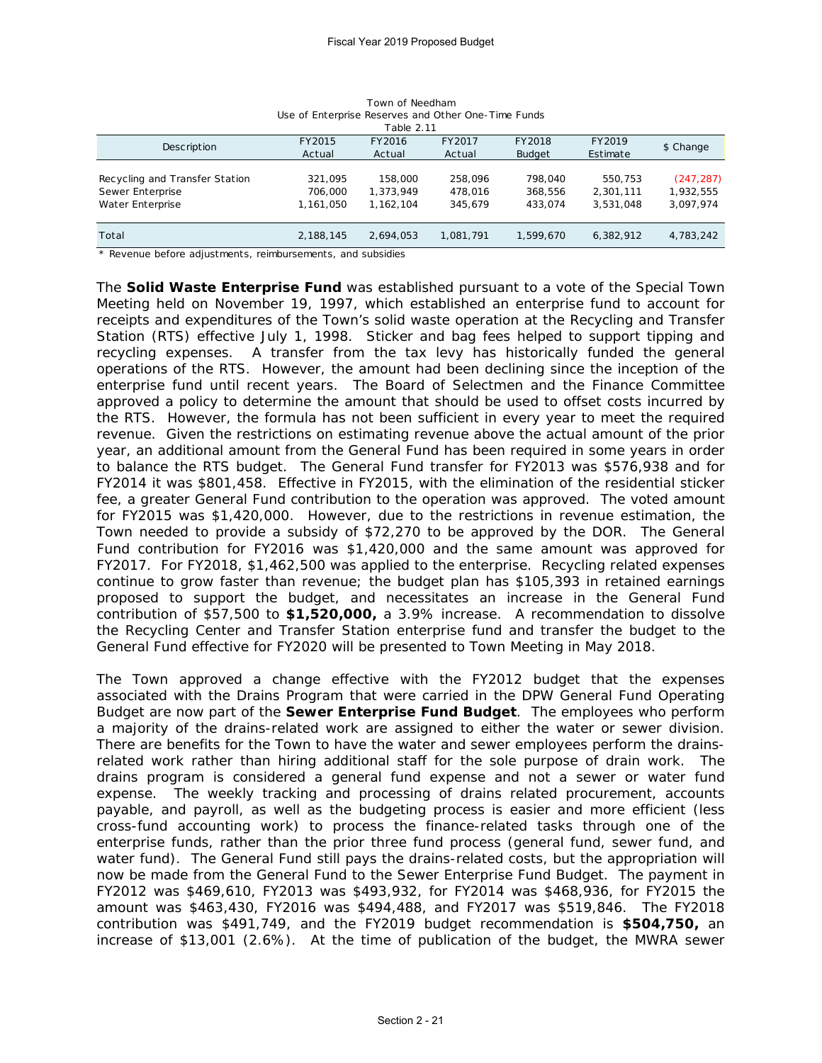| OSC OF LITTLEFINISC RESCRIPCS AND OTHER DIRECT MINUS<br>Table 2.11 |           |           |           |               |           |            |
|--------------------------------------------------------------------|-----------|-----------|-----------|---------------|-----------|------------|
| <b>Description</b>                                                 | FY2015    | FY2016    | FY2017    | FY2018        | FY2019    | \$ Change  |
|                                                                    | Actual    | Actual    | Actual    | <b>Budget</b> | Estimate  |            |
|                                                                    |           |           |           |               |           |            |
| Recycling and Transfer Station                                     | 321.095   | 158,000   | 258.096   | 798.040       | 550.753   | (247, 287) |
| Sewer Enterprise                                                   | 706,000   | 1.373.949 | 478.016   | 368,556       | 2,301,111 | 1,932,555  |
| Water Enterprise                                                   | 1,161,050 | 1.162.104 | 345.679   | 433.074       | 3.531.048 | 3,097,974  |
|                                                                    |           |           |           |               |           |            |
| Total                                                              | 2,188,145 | 2.694.053 | 1,081,791 | 1.599.670     | 6.382.912 | 4,783,242  |

Town of Needham Use of Enterprise Reserves and Other One-Time Funds

\* Revenue before adjustments, reimbursements, and subsidies

The **Solid Waste Enterprise Fund** was established pursuant to a vote of the Special Town Meeting held on November 19, 1997, which established an enterprise fund to account for receipts and expenditures of the Town's solid waste operation at the Recycling and Transfer Station (RTS) effective July 1, 1998. Sticker and bag fees helped to support tipping and recycling expenses. A transfer from the tax levy has historically funded the general operations of the RTS. However, the amount had been declining since the inception of the enterprise fund until recent years. The Board of Selectmen and the Finance Committee approved a policy to determine the amount that should be used to offset costs incurred by the RTS. However, the formula has not been sufficient in every year to meet the required revenue. Given the restrictions on estimating revenue above the actual amount of the prior year, an additional amount from the General Fund has been required in some years in order to balance the RTS budget. The General Fund transfer for FY2013 was \$576,938 and for FY2014 it was \$801,458. Effective in FY2015, with the elimination of the residential sticker fee, a greater General Fund contribution to the operation was approved. The voted amount for FY2015 was \$1,420,000. However, due to the restrictions in revenue estimation, the Town needed to provide a subsidy of \$72,270 to be approved by the DOR. The General Fund contribution for FY2016 was \$1,420,000 and the same amount was approved for FY2017. For FY2018, \$1,462,500 was applied to the enterprise. Recycling related expenses continue to grow faster than revenue; the budget plan has \$105,393 in retained earnings proposed to support the budget, and necessitates an increase in the General Fund contribution of \$57,500 to **\$1,520,000,** a 3.9% increase. A recommendation to dissolve the Recycling Center and Transfer Station enterprise fund and transfer the budget to the General Fund effective for FY2020 will be presented to Town Meeting in May 2018.

The Town approved a change effective with the FY2012 budget that the expenses associated with the Drains Program that were carried in the DPW General Fund Operating Budget are now part of the **Sewer Enterprise Fund Budget**. The employees who perform a majority of the drains-related work are assigned to either the water or sewer division. There are benefits for the Town to have the water and sewer employees perform the drainsrelated work rather than hiring additional staff for the sole purpose of drain work. The drains program is considered a general fund expense and not a sewer or water fund expense. The weekly tracking and processing of drains related procurement, accounts payable, and payroll, as well as the budgeting process is easier and more efficient (less cross-fund accounting work) to process the finance-related tasks through one of the enterprise funds, rather than the prior three fund process (general fund, sewer fund, and water fund). The General Fund still pays the drains-related costs, but the appropriation will now be made from the General Fund to the Sewer Enterprise Fund Budget. The payment in FY2012 was \$469,610, FY2013 was \$493,932, for FY2014 was \$468,936, for FY2015 the amount was \$463,430, FY2016 was \$494,488, and FY2017 was \$519,846. The FY2018 contribution was \$491,749, and the FY2019 budget recommendation is **\$504,750,** an increase of \$13,001 (2.6%). At the time of publication of the budget, the MWRA sewer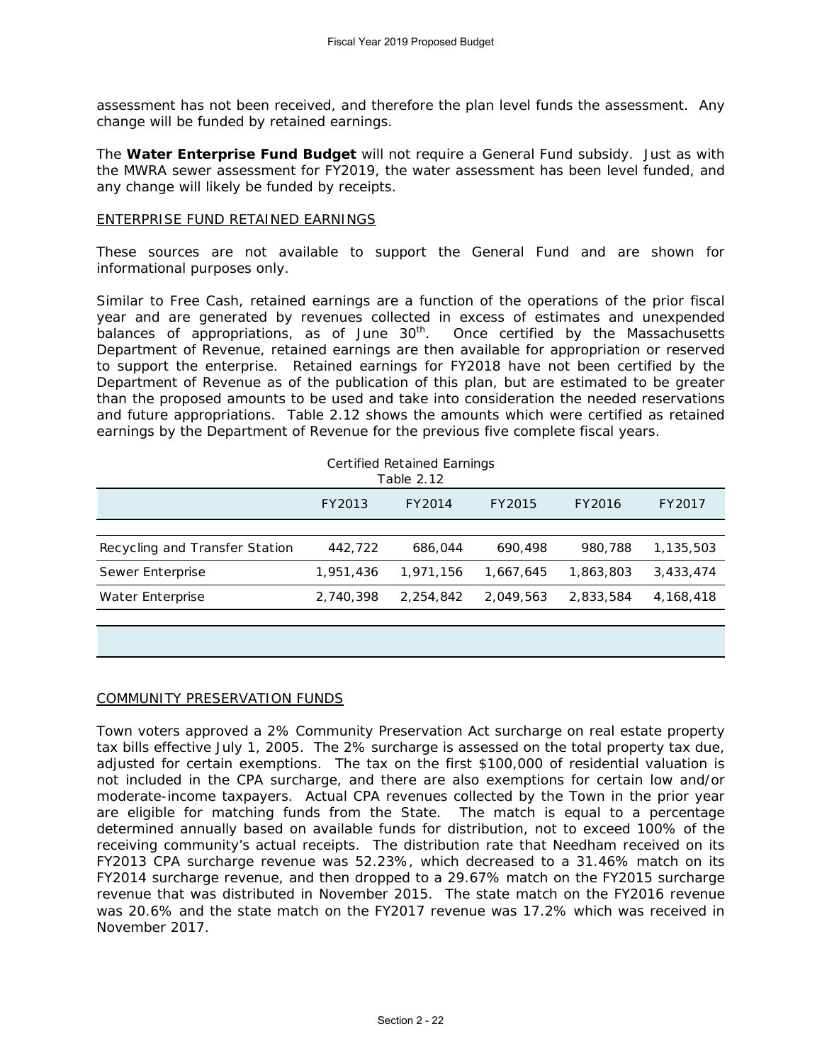assessment has not been received, and therefore the plan level funds the assessment. Any change will be funded by retained earnings.

The **Water Enterprise Fund Budget** will not require a General Fund subsidy. Just as with the MWRA sewer assessment for FY2019, the water assessment has been level funded, and any change will likely be funded by receipts.

#### ENTERPRISE FUND RETAINED EARNINGS

These sources are not available to support the General Fund and are shown for informational purposes only.

Similar to Free Cash, retained earnings are a function of the operations of the prior fiscal year and are generated by revenues collected in excess of estimates and unexpended balances of appropriations, as of June  $30<sup>th</sup>$ . Once certified by the Massachusetts Department of Revenue, retained earnings are then available for appropriation or reserved to support the enterprise. Retained earnings for FY2018 have not been certified by the Department of Revenue as of the publication of this plan, but are estimated to be greater than the proposed amounts to be used and take into consideration the needed reservations and future appropriations. Table 2.12 shows the amounts which were certified as retained earnings by the Department of Revenue for the previous five complete fiscal years.

| Certified Retained Earnings<br>Table 2.12 |           |           |           |           |             |  |  |
|-------------------------------------------|-----------|-----------|-----------|-----------|-------------|--|--|
|                                           | FY2013    | FY2014    | FY2015    | FY2016    | FY2017      |  |  |
|                                           |           |           |           |           |             |  |  |
| Recycling and Transfer Station            | 442,722   | 686,044   | 690,498   | 980.788   | 1,135,503   |  |  |
| Sewer Enterprise                          | 1,951,436 | 1,971,156 | 1,667,645 | 1,863,803 | 3,433,474   |  |  |
| Water Enterprise                          | 2,740,398 | 2,254,842 | 2,049,563 | 2,833,584 | 4, 168, 418 |  |  |
|                                           |           |           |           |           |             |  |  |

#### COMMUNITY PRESERVATION FUNDS

Town voters approved a 2% Community Preservation Act surcharge on real estate property tax bills effective July 1, 2005. The 2% surcharge is assessed on the total property tax due, adjusted for certain exemptions. The tax on the first \$100,000 of residential valuation is not included in the CPA surcharge, and there are also exemptions for certain low and/or moderate-income taxpayers. Actual CPA revenues collected by the Town in the prior year are eligible for matching funds from the State. The match is equal to a percentage determined annually based on available funds for distribution, not to exceed 100% of the receiving community's actual receipts. The distribution rate that Needham received on its FY2013 CPA surcharge revenue was 52.23%, which decreased to a 31.46% match on its FY2014 surcharge revenue, and then dropped to a 29.67% match on the FY2015 surcharge revenue that was distributed in November 2015. The state match on the FY2016 revenue was 20.6% and the state match on the FY2017 revenue was 17.2% which was received in November 2017.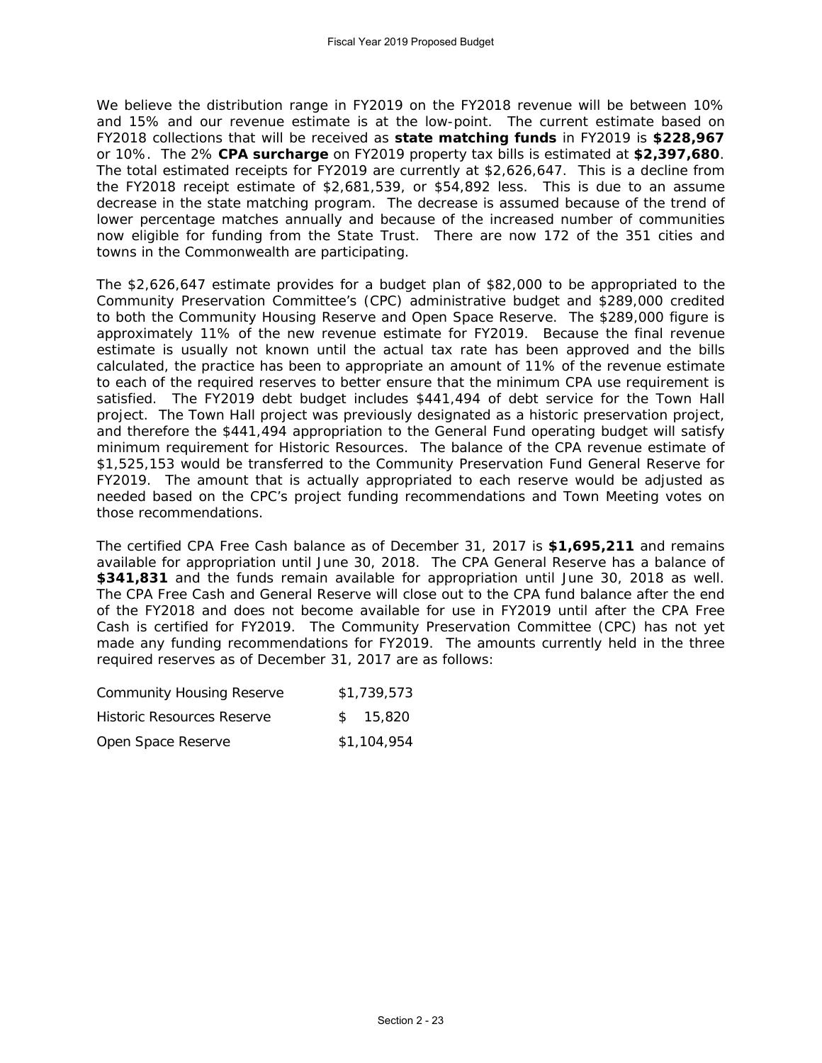We believe the distribution range in FY2019 on the FY2018 revenue will be between 10% and 15% and our revenue estimate is at the low-point. The current estimate based on FY2018 collections that will be received as **state matching funds** in FY2019 is **\$228,967**  or 10%. The 2% **CPA surcharge** on FY2019 property tax bills is estimated at **\$2,397,680**. The total estimated receipts for FY2019 are currently at \$2,626,647. This is a decline from the FY2018 receipt estimate of \$2,681,539, or \$54,892 less. This is due to an assume decrease in the state matching program. The decrease is assumed because of the trend of lower percentage matches annually and because of the increased number of communities now eligible for funding from the State Trust. There are now 172 of the 351 cities and towns in the Commonwealth are participating.

The \$2,626,647 estimate provides for a budget plan of \$82,000 to be appropriated to the Community Preservation Committee's (CPC) administrative budget and \$289,000 credited to both the Community Housing Reserve and Open Space Reserve. The \$289,000 figure is approximately 11% of the new revenue estimate for FY2019. Because the final revenue estimate is usually not known until the actual tax rate has been approved and the bills calculated, the practice has been to appropriate an amount of 11% of the revenue estimate to each of the required reserves to better ensure that the minimum CPA use requirement is satisfied. The FY2019 debt budget includes \$441,494 of debt service for the Town Hall project. The Town Hall project was previously designated as a historic preservation project, and therefore the \$441,494 appropriation to the General Fund operating budget will satisfy minimum requirement for Historic Resources. The balance of the CPA revenue estimate of \$1,525,153 would be transferred to the Community Preservation Fund General Reserve for FY2019. The amount that is actually appropriated to each reserve would be adjusted as needed based on the CPC's project funding recommendations and Town Meeting votes on those recommendations.

The certified CPA Free Cash balance as of December 31, 2017 is **\$1,695,211** and remains available for appropriation until June 30, 2018. The CPA General Reserve has a balance of **\$341,831** and the funds remain available for appropriation until June 30, 2018 as well. The CPA Free Cash and General Reserve will close out to the CPA fund balance after the end of the FY2018 and does not become available for use in FY2019 until after the CPA Free Cash is certified for FY2019. The Community Preservation Committee (CPC) has not yet made any funding recommendations for FY2019. The amounts currently held in the three required reserves as of December 31, 2017 are as follows:

| <b>Community Housing Reserve</b> | \$1,739,573 |
|----------------------------------|-------------|
| Historic Resources Reserve       | \$15.820    |
| Open Space Reserve               | \$1,104,954 |